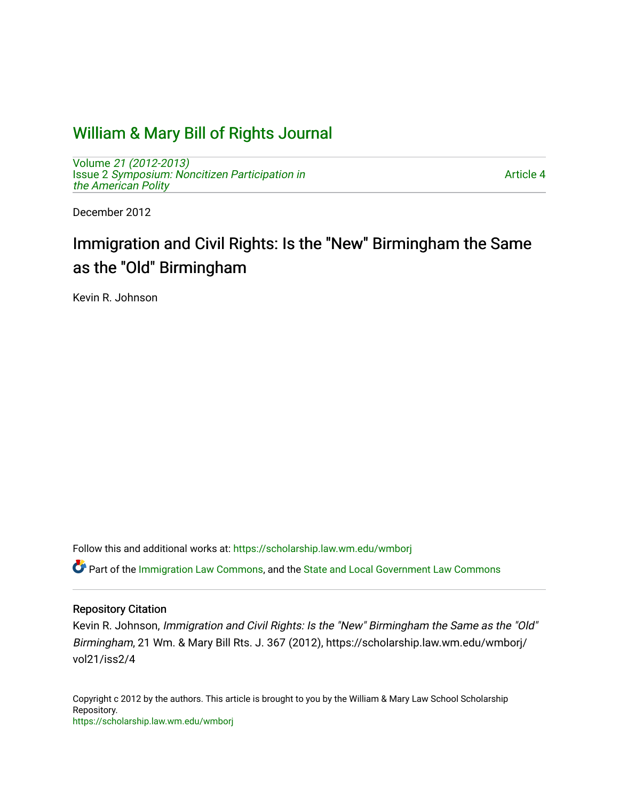# [William & Mary Bill of Rights Journal](https://scholarship.law.wm.edu/wmborj)

Volume [21 \(2012-2013\)](https://scholarship.law.wm.edu/wmborj/vol21)  Issue 2 Symposium: Noncitizen Participation in [the American Polity](https://scholarship.law.wm.edu/wmborj/vol21/iss2)

[Article 4](https://scholarship.law.wm.edu/wmborj/vol21/iss2/4) 

December 2012

# Immigration and Civil Rights: Is the "New" Birmingham the Same as the "Old" Birmingham

Kevin R. Johnson

Follow this and additional works at: [https://scholarship.law.wm.edu/wmborj](https://scholarship.law.wm.edu/wmborj?utm_source=scholarship.law.wm.edu%2Fwmborj%2Fvol21%2Fiss2%2F4&utm_medium=PDF&utm_campaign=PDFCoverPages) 

**C** Part of the [Immigration Law Commons](http://network.bepress.com/hgg/discipline/604?utm_source=scholarship.law.wm.edu%2Fwmborj%2Fvol21%2Fiss2%2F4&utm_medium=PDF&utm_campaign=PDFCoverPages), and the State and Local Government Law Commons

## Repository Citation

Kevin R. Johnson, Immigration and Civil Rights: Is the "New" Birmingham the Same as the "Old" Birmingham, 21 Wm. & Mary Bill Rts. J. 367 (2012), https://scholarship.law.wm.edu/wmborj/ vol21/iss2/4

Copyright c 2012 by the authors. This article is brought to you by the William & Mary Law School Scholarship Repository. <https://scholarship.law.wm.edu/wmborj>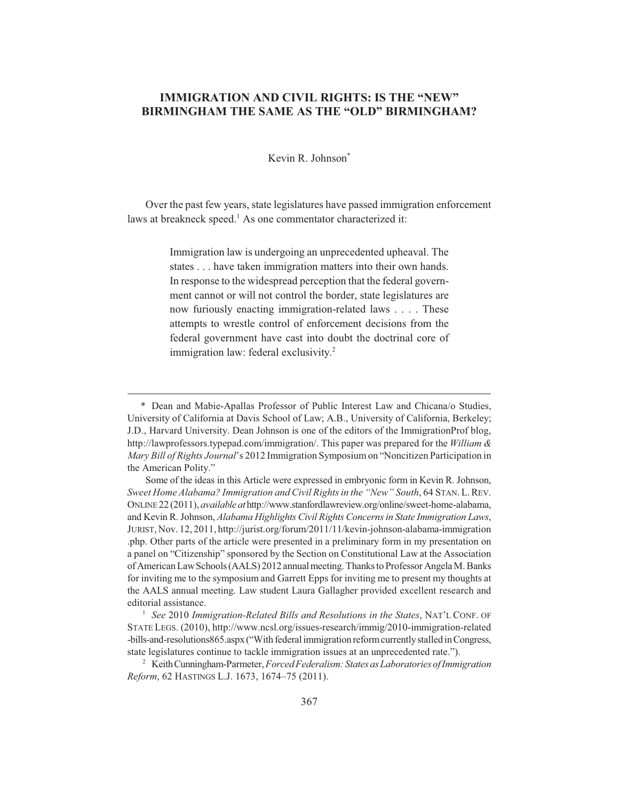# **IMMIGRATION AND CIVIL RIGHTS: IS THE "NEW"<br>BIRMINGHAM THE SAME AS THE "OLD" BIRMINGHAM? BIRMINGHAM THE SAME AS THE "OLD" BIRMINGHAM?**

Kevin R. Johnson\*

Over the past few years, state legislatures have passed immigration enforcement laws at breakneck speed.<sup>1</sup> As one commentator characterized it:

> Immigration law is undergoing an unprecedented upheaval. The states . . . have taken immigration matters into their own hands. In response to the widespread perception that the federal government cannot or will not control the border, state legislatures are now furiously enacting immigration-related laws . . . . These attempts to wrestle control of enforcement decisions from the federal government have cast into doubt the doctrinal core of immigration law: federal exclusivity.<sup>2</sup>

<sup>\*</sup> Dean and Mabie-Apallas Professor of Public Interest Law and Chicana/o Studies, University of California at Davis School of Law; A.B., University of California, Berkeley; J.D., Harvard University. Dean Johnson is one of the editors of the ImmigrationProf blog, http://lawprofessors.typepad.com/immigration/. This paper was prepared for the *William & Mary Bill of Rights Journal*'s 2012 Immigration Symposium on "Noncitizen Participation in the American Polity."

Some of the ideas in this Article were expressed in embryonic form in Kevin R. Johnson, *Sweet Home Alabama? Immigration and Civil Rights in the "New" South*, 64 STAN.L.REV. ONLINE 22 (2011), *available at* http://www.stanfordlawreview.org/online/sweet-home-alabama, and Kevin R. Johnson, *Alabama Highlights Civil Rights Concerns in State Immigration Laws*, JURIST, Nov. 12, 2011, http://jurist.org/forum/2011/11/kevin-johnson-alabama-immigration .php. Other parts of the article were presented in a preliminary form in my presentation on a panel on "Citizenship" sponsored by the Section on Constitutional Law at the Association of American Law Schools (AALS) 2012 annual meeting. Thanks to Professor Angela M. Banks for inviting me to the symposium and Garrett Epps for inviting me to present my thoughts at the AALS annual meeting. Law student Laura Gallagher provided excellent research and editorial assistance.

<sup>1</sup> *See* 2010 *Immigration-Related Bills and Resolutions in the States*, NAT'L CONF. OF STATE LEGS. (2010), http://www.ncsl.org/issues-research/immig/2010-immigration-related -bills-and-resolutions865.aspx ("With federal immigration reform currently stalled in Congress, state legislatures continue to tackle immigration issues at an unprecedented rate.").

<sup>2</sup> Keith Cunningham-Parmeter, *Forced Federalism: States as Laboratories of Immigration Reform*, 62 HASTINGS L.J. 1673, 1674–75 (2011).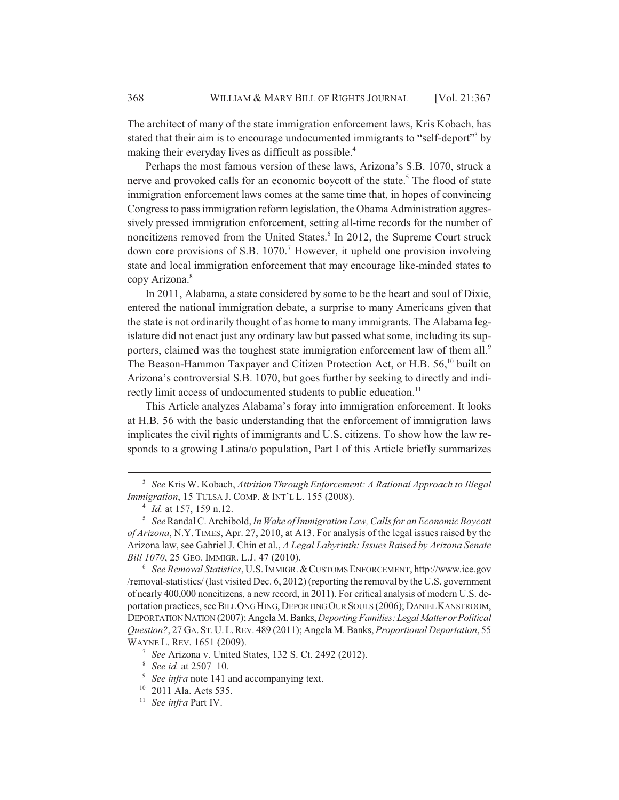The architect of many of the state immigration enforcement laws, Kris Kobach, has stated that their aim is to encourage undocumented immigrants to "self-deport"<sup>3</sup> by making their everyday lives as difficult as possible.<sup>4</sup>

Perhaps the most famous version of these laws, Arizona's S.B. 1070, struck a nerve and provoked calls for an economic boycott of the state.<sup>5</sup> The flood of state immigration enforcement laws comes at the same time that, in hopes of convincing Congress to pass immigration reform legislation, the Obama Administration aggressively pressed immigration enforcement, setting all-time records for the number of noncitizens removed from the United States.<sup>6</sup> In 2012, the Supreme Court struck down core provisions of S.B. 1070.<sup>7</sup> However, it upheld one provision involving state and local immigration enforcement that may encourage like-minded states to copy Arizona.<sup>8</sup>

In 2011, Alabama, a state considered by some to be the heart and soul of Dixie, entered the national immigration debate, a surprise to many Americans given that the state is not ordinarily thought of as home to many immigrants. The Alabama legislature did not enact just any ordinary law but passed what some, including its supporters, claimed was the toughest state immigration enforcement law of them all.<sup>9</sup> The Beason-Hammon Taxpayer and Citizen Protection Act, or H.B. 56,<sup>10</sup> built on Arizona's controversial S.B. 1070, but goes further by seeking to directly and indirectly limit access of undocumented students to public education.<sup>11</sup>

This Article analyzes Alabama's foray into immigration enforcement. It looks at H.B. 56 with the basic understanding that the enforcement of immigration laws implicates the civil rights of immigrants and U.S. citizens. To show how the law responds to a growing Latina/o population, Part I of this Article briefly summarizes

<sup>3</sup> *See* Kris W. Kobach, *Attrition Through Enforcement: A Rational Approach to Illegal Immigration*, 15 TULSA J. COMP. & INT'L L. 155 (2008).

<sup>4</sup> *Id.* at 157, 159 n.12.

<sup>5</sup> *See* Randal C. Archibold, *In Wake of Immigration Law, Calls for an Economic Boycott of Arizona*, N.Y. TIMES, Apr. 27, 2010, at A13. For analysis of the legal issues raised by the Arizona law, see Gabriel J. Chin et al., *A Legal Labyrinth: Issues Raised by Arizona Senate Bill 1070*, 25 GEO. IMMIGR. L.J. 47 (2010).

<sup>6</sup> *See Removal Statistics*, U.S.IMMIGR.&CUSTOMS ENFORCEMENT, http://www.ice.gov /removal-statistics/ (last visited Dec. 6, 2012) (reporting the removal by the U.S. government of nearly 400,000 noncitizens, a new record, in 2011). For critical analysis of modern U.S. deportation practices, see BILL ONG HING, DEPORTING OUR SOULS (2006); DANIEL KANSTROOM, DEPORTATION NATION (2007); Angela M. Banks, *Deporting Families: Legal Matter or Political Question?*, 27 GA.ST.U.L.REV. 489 (2011); Angela M. Banks, *Proportional Deportation*, 55 WAYNE L. REV. 1651 (2009).

<sup>7</sup> *See* Arizona v. United States, 132 S. Ct. 2492 (2012).

<sup>8</sup> *See id.* at 2507–10.

<sup>&</sup>lt;sup>9</sup> *See infra* note 141 and accompanying text.

<sup>10</sup> 2011 Ala. Acts 535.

<sup>11</sup> *See infra* Part IV.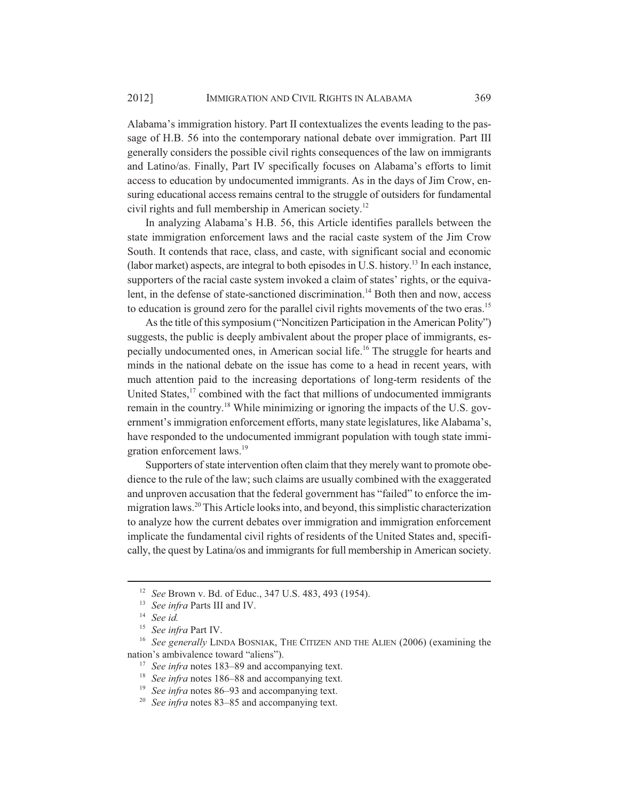Alabama's immigration history. Part II contextualizes the events leading to the passage of H.B. 56 into the contemporary national debate over immigration. Part III generally considers the possible civil rights consequences of the law on immigrants and Latino/as. Finally, Part IV specifically focuses on Alabama's efforts to limit access to education by undocumented immigrants. As in the days of Jim Crow, ensuring educational access remains central to the struggle of outsiders for fundamental civil rights and full membership in American society.12

In analyzing Alabama's H.B. 56, this Article identifies parallels between the state immigration enforcement laws and the racial caste system of the Jim Crow South. It contends that race, class, and caste, with significant social and economic (labor market) aspects, are integral to both episodes in U.S. history.13 In each instance, supporters of the racial caste system invoked a claim of states' rights, or the equivalent, in the defense of state-sanctioned discrimination.<sup>14</sup> Both then and now, access to education is ground zero for the parallel civil rights movements of the two eras.<sup>15</sup>

As the title of this symposium ("Noncitizen Participation in the American Polity") suggests, the public is deeply ambivalent about the proper place of immigrants, especially undocumented ones, in American social life.16 The struggle for hearts and minds in the national debate on the issue has come to a head in recent years, with much attention paid to the increasing deportations of long-term residents of the United States,<sup>17</sup> combined with the fact that millions of undocumented immigrants remain in the country.18 While minimizing or ignoring the impacts of the U.S. government's immigration enforcement efforts, many state legislatures, like Alabama's, have responded to the undocumented immigrant population with tough state immigration enforcement laws.<sup>19</sup>

Supporters of state intervention often claim that they merely want to promote obedience to the rule of the law; such claims are usually combined with the exaggerated and unproven accusation that the federal government has "failed" to enforce the immigration laws.20 This Article looks into, and beyond, this simplistic characterization to analyze how the current debates over immigration and immigration enforcement implicate the fundamental civil rights of residents of the United States and, specifically, the quest by Latina/os and immigrants for full membership in American society.

<sup>12</sup> *See* Brown v. Bd. of Educ., 347 U.S. 483, 493 (1954).

<sup>13</sup> *See infra* Parts III and IV.

<sup>14</sup> *See id.*

<sup>15</sup> *See infra* Part IV.

<sup>&</sup>lt;sup>16</sup> See generally LINDA BOSNIAK, THE CITIZEN AND THE ALIEN (2006) (examining the nation's ambivalence toward "aliens").

<sup>&</sup>lt;sup>17</sup> *See infra* notes 183–89 and accompanying text.

<sup>&</sup>lt;sup>18</sup> *See infra* notes 186–88 and accompanying text.

<sup>&</sup>lt;sup>19</sup> *See infra* notes 86–93 and accompanying text.

<sup>20</sup> *See infra* notes 83–85 and accompanying text.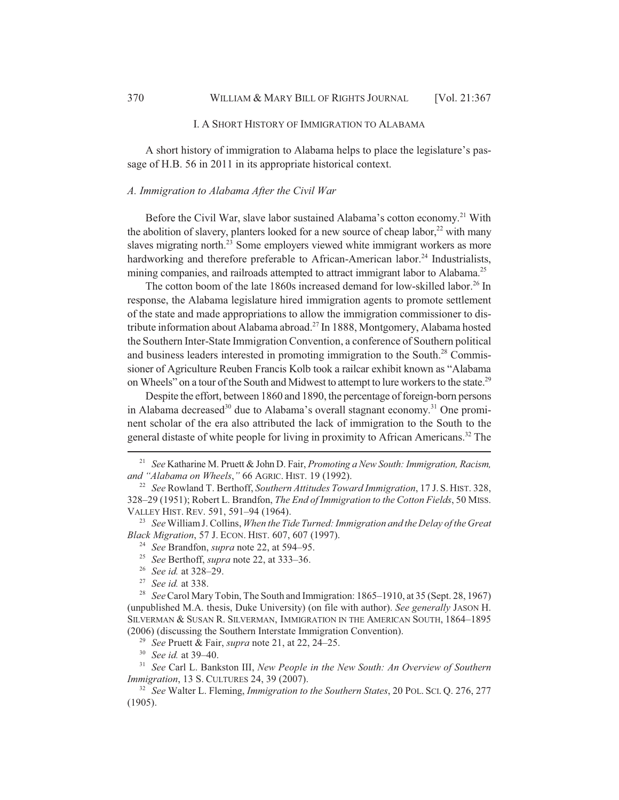#### I. A SHORT HISTORY OF IMMIGRATION TO ALABAMA

A short history of immigration to Alabama helps to place the legislature's passage of H.B. 56 in 2011 in its appropriate historical context.

#### *A. Immigration to Alabama After the Civil War*

Before the Civil War, slave labor sustained Alabama's cotton economy.<sup>21</sup> With the abolition of slavery, planters looked for a new source of cheap labor, $22$  with many slaves migrating north.<sup>23</sup> Some employers viewed white immigrant workers as more hardworking and therefore preferable to African-American labor.<sup>24</sup> Industrialists, mining companies, and railroads attempted to attract immigrant labor to Alabama.<sup>25</sup>

The cotton boom of the late 1860s increased demand for low-skilled labor.<sup>26</sup> In response, the Alabama legislature hired immigration agents to promote settlement of the state and made appropriations to allow the immigration commissioner to distribute information about Alabama abroad.<sup>27</sup> In 1888, Montgomery, Alabama hosted the Southern Inter-State Immigration Convention, a conference of Southern political and business leaders interested in promoting immigration to the South.<sup>28</sup> Commissioner of Agriculture Reuben Francis Kolb took a railcar exhibit known as "Alabama on Wheels" on a tour of the South and Midwest to attempt to lure workers to the state.<sup>29</sup>

Despite the effort, between 1860 and 1890, the percentage of foreign-born persons in Alabama decreased<sup>30</sup> due to Alabama's overall stagnant economy.<sup>31</sup> One prominent scholar of the era also attributed the lack of immigration to the South to the general distaste of white people for living in proximity to African Americans.<sup>32</sup> The

<sup>29</sup> *See* Pruett & Fair, *supra* note 21, at 22, 24–25.

<sup>21</sup> *See* Katharine M. Pruett & John D. Fair, *Promoting a New South: Immigration, Racism, and "Alabama on Wheels*,*"* 66 AGRIC. HIST. 19 (1992).

<sup>22</sup> *See* Rowland T. Berthoff, *Southern Attitudes Toward Immigration*, 17 J. S. HIST. 328, 328–29 (1951); Robert L. Brandfon, *The End of Immigration to the Cotton Fields*, 50 MISS. VALLEY HIST. REV. 591, 591–94 (1964).

<sup>23</sup> *See* William J. Collins, *When the Tide Turned: Immigration and the Delay of the Great Black Migration*, 57 J. ECON. HIST. 607, 607 (1997).

<sup>24</sup> *See* Brandfon, *supra* note 22, at 594–95.

<sup>25</sup> *See* Berthoff, *supra* note 22, at 333–36.

<sup>26</sup> *See id.* at 328–29.

<sup>27</sup> *See id.* at 338.

<sup>28</sup> *See* Carol Mary Tobin, The South and Immigration: 1865–1910, at 35 (Sept. 28, 1967) (unpublished M.A. thesis, Duke University) (on file with author). *See generally* JASON H. SILVERMAN & SUSAN R. SILVERMAN, IMMIGRATION IN THE AMERICAN SOUTH, 1864–1895 (2006) (discussing the Southern Interstate Immigration Convention).

<sup>30</sup> *See id.* at 39–40.

<sup>31</sup> *See* Carl L. Bankston III, *New People in the New South: An Overview of Southern Immigration*, 13 S. CULTURES 24, 39 (2007).

<sup>32</sup> *See* Walter L. Fleming, *Immigration to the Southern States*, 20 POL. SCI. Q. 276, 277 (1905).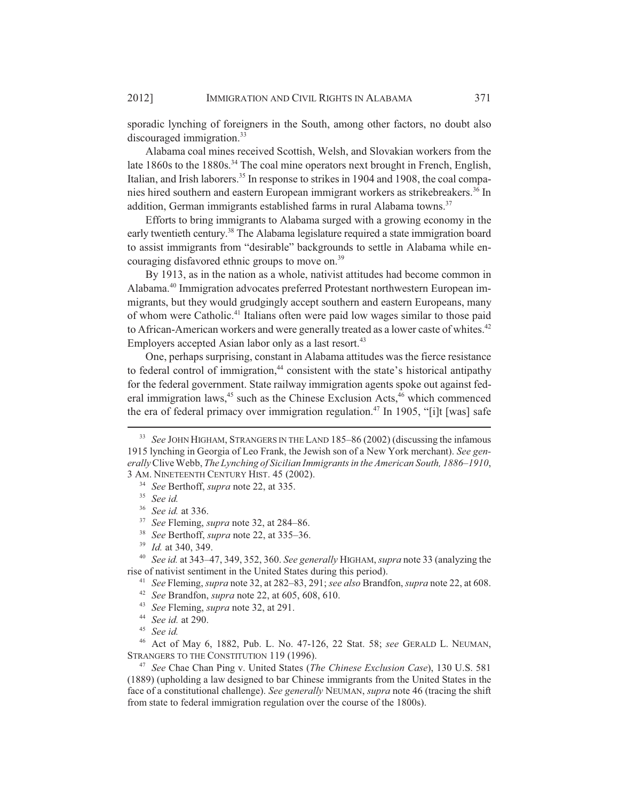sporadic lynching of foreigners in the South, among other factors, no doubt also discouraged immigration.<sup>33</sup>

Alabama coal mines received Scottish, Welsh, and Slovakian workers from the late 1860s to the 1880s.<sup>34</sup> The coal mine operators next brought in French, English, Italian, and Irish laborers.<sup>35</sup> In response to strikes in 1904 and 1908, the coal companies hired southern and eastern European immigrant workers as strikebreakers.<sup>36</sup> In addition, German immigrants established farms in rural Alabama towns.<sup>37</sup>

Efforts to bring immigrants to Alabama surged with a growing economy in the early twentieth century.<sup>38</sup> The Alabama legislature required a state immigration board to assist immigrants from "desirable" backgrounds to settle in Alabama while encouraging disfavored ethnic groups to move on.<sup>39</sup>

By 1913, as in the nation as a whole, nativist attitudes had become common in Alabama.<sup>40</sup> Immigration advocates preferred Protestant northwestern European immigrants, but they would grudgingly accept southern and eastern Europeans, many of whom were Catholic.<sup>41</sup> Italians often were paid low wages similar to those paid to African-American workers and were generally treated as a lower caste of whites.<sup>42</sup> Employers accepted Asian labor only as a last resort.<sup>43</sup>

One, perhaps surprising, constant in Alabama attitudes was the fierce resistance to federal control of immigration,<sup>44</sup> consistent with the state's historical antipathy for the federal government. State railway immigration agents spoke out against federal immigration laws, $45$  such as the Chinese Exclusion Acts, $46$  which commenced the era of federal primacy over immigration regulation.<sup>47</sup> In 1905, "[i]t [was] safe

<sup>40</sup> *See id.* at 343–47, 349, 352, 360. *See generally* HIGHAM, *supra* note 33 (analyzing the rise of nativist sentiment in the United States during this period).

<sup>41</sup> *See* Fleming, *supra* note 32, at 282–83, 291; *see also* Brandfon, *supra* note 22, at 608.

- <sup>42</sup> *See* Brandfon, *supra* note 22, at 605, 608, 610.
- <sup>43</sup> *See* Fleming, *supra* note 32, at 291.

<sup>45</sup> *See id.*

<sup>46</sup> Act of May 6, 1882, Pub. L. No. 47-126, 22 Stat. 58; *see* GERALD L. NEUMAN, STRANGERS TO THE CONSTITUTION 119 (1996).

<sup>47</sup> *See* Chae Chan Ping v. United States (*The Chinese Exclusion Case*), 130 U.S. 581 (1889) (upholding a law designed to bar Chinese immigrants from the United States in the face of a constitutional challenge). *See generally* NEUMAN, *supra* note 46 (tracing the shift from state to federal immigration regulation over the course of the 1800s).

<sup>33</sup> *See* JOHN HIGHAM, STRANGERS IN THE LAND 185–86 (2002) (discussing the infamous 1915 lynching in Georgia of Leo Frank, the Jewish son of a New York merchant). *See generally* Clive Webb, *The Lynching of Sicilian Immigrants in the American South, 1886–1910*, 3 AM. NINETEENTH CENTURY HIST. 45 (2002).

<sup>34</sup> *See* Berthoff, *supra* note 22, at 335.

<sup>35</sup> *See id.*

<sup>36</sup> *See id.* at 336.

<sup>37</sup> *See* Fleming, *supra* note 32, at 284–86.

<sup>38</sup> *See* Berthoff, *supra* note 22, at 335–36.

<sup>39</sup> *Id.* at 340, 349.

<sup>44</sup> *See id.* at 290.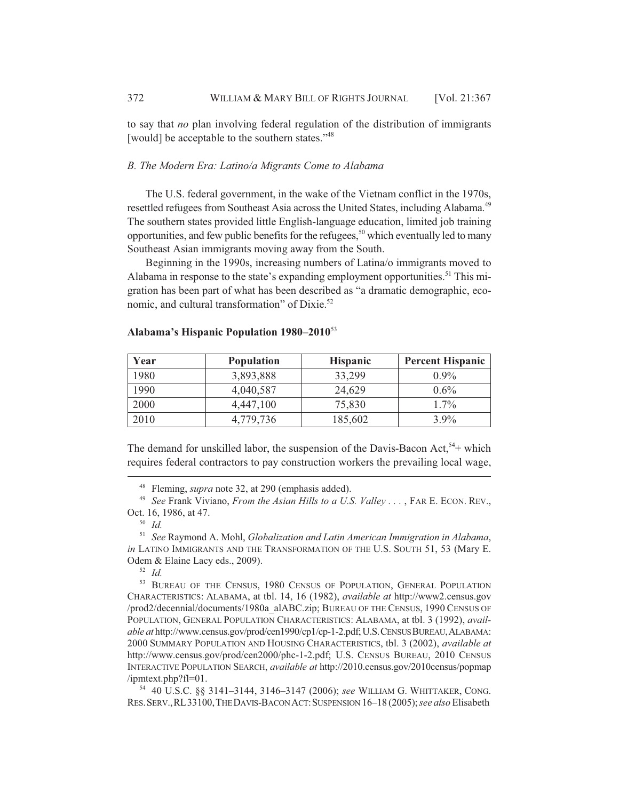to say that *no* plan involving federal regulation of the distribution of immigrants [would] be acceptable to the southern states."<sup>48</sup>

#### *B. The Modern Era: Latino/a Migrants Come to Alabama*

The U.S. federal government, in the wake of the Vietnam conflict in the 1970s, resettled refugees from Southeast Asia across the United States, including Alabama.<sup>49</sup> The southern states provided little English-language education, limited job training opportunities, and few public benefits for the refugees,<sup>50</sup> which eventually led to many Southeast Asian immigrants moving away from the South.

Beginning in the 1990s, increasing numbers of Latina/o immigrants moved to Alabama in response to the state's expanding employment opportunities.<sup>51</sup> This migration has been part of what has been described as "a dramatic demographic, economic, and cultural transformation" of Dixie.<sup>52</sup>

| Year | <b>Population</b> | <b>Hispanic</b> | <b>Percent Hispanic</b> |
|------|-------------------|-----------------|-------------------------|
| 1980 | 3,893,888         | 33,299          | $0.9\%$                 |
| 1990 | 4,040,587         | 24,629          | $0.6\%$                 |
| 2000 | 4,447,100         | 75,830          | $1.7\%$                 |
| 2010 | 4.779.736         | 185,602         | $3.9\%$                 |

#### **Alabama's Hispanic Population 1980–2010**<sup>53</sup>

The demand for unskilled labor, the suspension of the Davis-Bacon Act,  $54+$  which requires federal contractors to pay construction workers the prevailing local wage,

<sup>54</sup> 40 U.S.C. §§ 3141–3144, 3146–3147 (2006); *see* WILLIAM G. WHITTAKER, CONG. RES.SERV.,RL33100,THE DAVIS-BACON ACT:SUSPENSION 16–18 (2005); *see also* Elisabeth

<sup>48</sup> Fleming, *supra* note 32, at 290 (emphasis added).

<sup>&</sup>lt;sup>49</sup> *See* Frank Viviano, *From the Asian Hills to a U.S. Valley* . . . , FAR E. ECON. REV., Oct. 16, 1986, at 47.

<sup>50</sup> *Id.*

<sup>51</sup> *See* Raymond A. Mohl, *Globalization and Latin American Immigration in Alabama*, *in* LATINO IMMIGRANTS AND THE TRANSFORMATION OF THE U.S. SOUTH 51, 53 (Mary E. Odem & Elaine Lacy eds., 2009).

<sup>52</sup> *Id.*

<sup>&</sup>lt;sup>53</sup> BUREAU OF THE CENSUS, 1980 CENSUS OF POPULATION, GENERAL POPULATION CHARACTERISTICS: ALABAMA, at tbl. 14, 16 (1982), *available at* http://www2.census.gov /prod2/decennial/documents/1980a\_alABC.zip; BUREAU OF THE CENSUS, 1990 CENSUS OF POPULATION, GENERAL POPULATION CHARACTERISTICS: ALABAMA, at tbl. 3 (1992), *available at* http://www.census.gov/prod/cen1990/cp1/cp-1-2.pdf; U.S.CENSUS BUREAU,ALABAMA: 2000 SUMMARY POPULATION AND HOUSING CHARACTERISTICS, tbl. 3 (2002), *available at* http://www.census.gov/prod/cen2000/phc-1-2.pdf; U.S. CENSUS BUREAU, 2010 CENSUS INTERACTIVE POPULATION SEARCH, *available at* http://2010.census.gov/2010census/popmap /ipmtext.php?fl=01.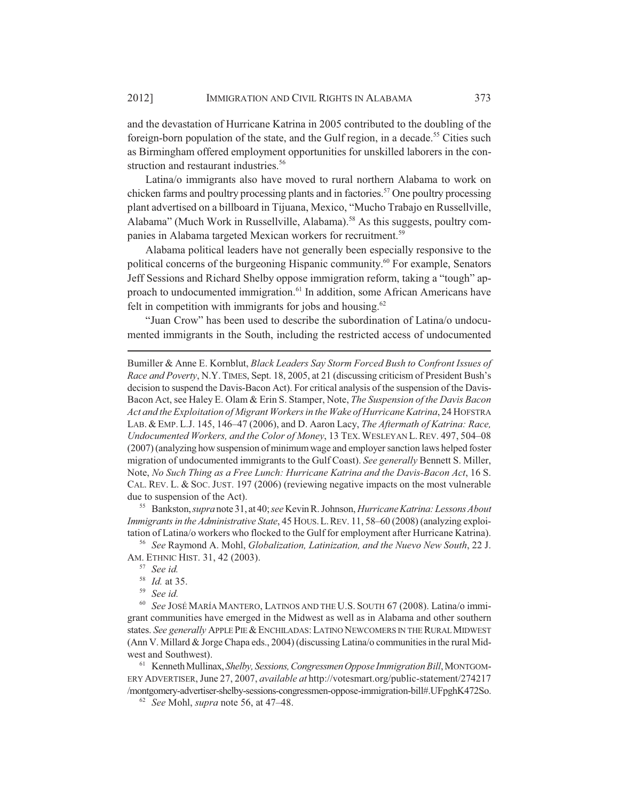and the devastation of Hurricane Katrina in 2005 contributed to the doubling of the foreign-born population of the state, and the Gulf region, in a decade.<sup>55</sup> Cities such as Birmingham offered employment opportunities for unskilled laborers in the construction and restaurant industries.<sup>56</sup>

Latina/o immigrants also have moved to rural northern Alabama to work on chicken farms and poultry processing plants and in factories.<sup>57</sup> One poultry processing plant advertised on a billboard in Tijuana, Mexico, "Mucho Trabajo en Russellville, Alabama" (Much Work in Russellville, Alabama).<sup>58</sup> As this suggests, poultry companies in Alabama targeted Mexican workers for recruitment.<sup>59</sup>

Alabama political leaders have not generally been especially responsive to the political concerns of the burgeoning Hispanic community.60 For example, Senators Jeff Sessions and Richard Shelby oppose immigration reform, taking a "tough" approach to undocumented immigration.<sup>61</sup> In addition, some African Americans have felt in competition with immigrants for jobs and housing.<sup>62</sup>

"Juan Crow" has been used to describe the subordination of Latina/o undocumented immigrants in the South, including the restricted access of undocumented

Bumiller & Anne E. Kornblut, *Black Leaders Say Storm Forced Bush to Confront Issues of Race and Poverty*, N.Y.TIMES, Sept. 18, 2005, at 21 (discussing criticism of President Bush's decision to suspend the Davis-Bacon Act). For critical analysis of the suspension of the Davis-Bacon Act, see Haley E. Olam & Erin S. Stamper, Note, *The Suspension of the Davis Bacon Act and the Exploitation of Migrant Workers in the Wake of Hurricane Katrina*, 24 HOFSTRA LAB. &EMP. L.J. 145, 146–47 (2006), and D. Aaron Lacy, *The Aftermath of Katrina: Race, Undocumented Workers, and the Color of Money*, 13 TEX.WESLEYAN L.REV. 497, 504–08 (2007) (analyzing how suspension of minimum wage and employer sanction laws helped foster migration of undocumented immigrants to the Gulf Coast). *See generally* Bennett S. Miller, Note, *No Such Thing as a Free Lunch: Hurricane Katrina and the Davis-Bacon Act*, 16 S. CAL. REV. L. & SOC. JUST. 197 (2006) (reviewing negative impacts on the most vulnerable due to suspension of the Act).

<sup>55</sup> Bankston, *supra* note 31, at 40; *see* Kevin R. Johnson, *Hurricane Katrina: Lessons About Immigrants in the Administrative State*, 45 HOUS.L.REV. 11, 58–60 (2008) (analyzing exploitation of Latina/o workers who flocked to the Gulf for employment after Hurricane Katrina).

<sup>56</sup> *See* Raymond A. Mohl, *Globalization, Latinization, and the Nuevo New South*, 22 J. AM. ETHNIC HIST. 31, 42 (2003).

<sup>60</sup> *See* JOSÉ MARÍA MANTERO, LATINOS AND THE U.S. SOUTH 67 (2008). Latina/o immigrant communities have emerged in the Midwest as well as in Alabama and other southern states. *See generally* APPLE PIE &ENCHILADAS:LATINO NEWCOMERS IN THE RURAL MIDWEST (Ann V. Millard & Jorge Chapa eds., 2004) (discussing Latina/o communities in the rural Midwest and Southwest).

<sup>61</sup> Kenneth Mullinax, *Shelby, Sessions, Congressmen Oppose Immigration Bill*, MONTGOM-ERY ADVERTISER, June 27, 2007, *available at* http://votesmart.org/public-statement/274217 /montgomery-advertiser-shelby-sessions-congressmen-oppose-immigration-bill#.UFpghK472So.

<sup>62</sup> *See* Mohl, *supra* note 56, at 47–48.

<sup>57</sup> *See id.*

<sup>58</sup> *Id.* at 35.

<sup>59</sup> *See id.*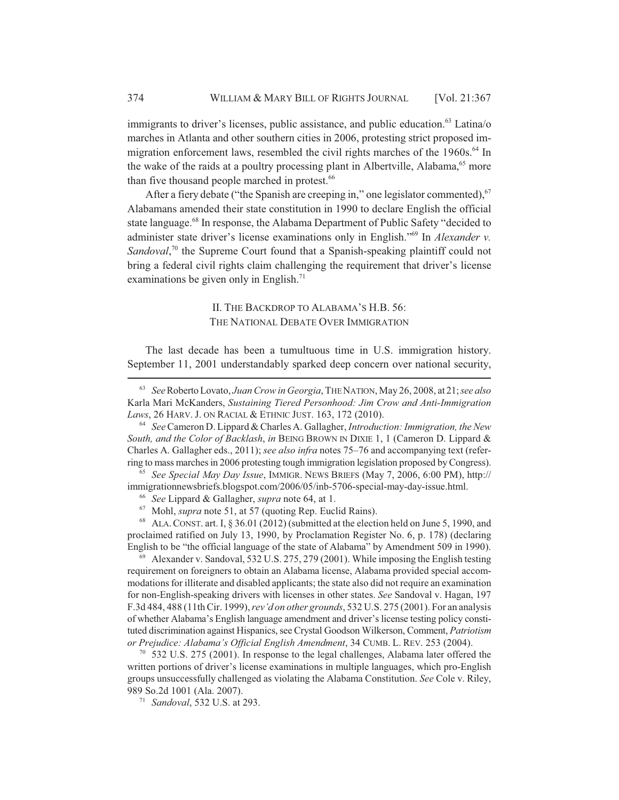immigrants to driver's licenses, public assistance, and public education.<sup>63</sup> Latina/o marches in Atlanta and other southern cities in 2006, protesting strict proposed immigration enforcement laws, resembled the civil rights marches of the 1960s.<sup>64</sup> In the wake of the raids at a poultry processing plant in Albertville, Alabama,<sup>65</sup> more than five thousand people marched in protest.<sup>66</sup>

After a fiery debate ("the Spanish are creeping in," one legislator commented), <sup>67</sup> Alabamans amended their state constitution in 1990 to declare English the official state language.<sup>68</sup> In response, the Alabama Department of Public Safety "decided to administer state driver's license examinations only in English."69 In *Alexander v.* Sandoval,<sup>70</sup> the Supreme Court found that a Spanish-speaking plaintiff could not bring a federal civil rights claim challenging the requirement that driver's license examinations be given only in English.<sup>71</sup>

### II. THE BACKDROP TO ALABAMA'S H.B. 56: THE NATIONAL DEBATE OVER IMMIGRATION

The last decade has been a tumultuous time in U.S. immigration history. September 11, 2001 understandably sparked deep concern over national security,

<sup>65</sup> *See Special May Day Issue*, IMMIGR. NEWS BRIEFS (May 7, 2006, 6:00 PM), http:// immigrationnewsbriefs.blogspot.com/2006/05/inb-5706-special-may-day-issue.html.

<sup>68</sup> ALA. CONST. art. I, § 36.01 (2012) (submitted at the election held on June 5, 1990, and proclaimed ratified on July 13, 1990, by Proclamation Register No. 6, p. 178) (declaring English to be "the official language of the state of Alabama" by Amendment 509 in 1990).

 $^{69}$  Alexander v. Sandoval, 532 U.S. 275, 279 (2001). While imposing the English testing requirement on foreigners to obtain an Alabama license, Alabama provided special accommodations for illiterate and disabled applicants; the state also did not require an examination for non-English-speaking drivers with licenses in other states. *See* Sandoval v. Hagan, 197 F.3d 484, 488 (11th Cir. 1999), *rev'd on other grounds*, 532 U.S. 275 (2001). For an analysis of whether Alabama's English language amendment and driver's license testing policy constituted discrimination against Hispanics, see Crystal Goodson Wilkerson, Comment, *Patriotism or Prejudice: Alabama's Official English Amendment*, 34 CUMB. L. REV. 253 (2004).

 $70\,$  532 U.S. 275 (2001). In response to the legal challenges, Alabama later offered the written portions of driver's license examinations in multiple languages, which pro-English groups unsuccessfully challenged as violating the Alabama Constitution. *See* Cole v. Riley, 989 So.2d 1001 (Ala. 2007).

<sup>71</sup> *Sandoval*, 532 U.S. at 293.

<sup>63</sup> *See* Roberto Lovato, *Juan Crow in Georgia*, THE NATION, May 26, 2008, at 21; *see also* Karla Mari McKanders, *Sustaining Tiered Personhood: Jim Crow and Anti-Immigration Laws*, 26 HARV. J. ON RACIAL & ETHNIC JUST. 163, 172 (2010).

<sup>64</sup> *See* Cameron D. Lippard & Charles A. Gallagher, *Introduction: Immigration, the New South, and the Color of Backlash*, *in* BEING BROWN IN DIXIE 1, 1 (Cameron D. Lippard & Charles A. Gallagher eds., 2011); *see also infra* notes 75–76 and accompanying text (referring to mass marches in 2006 protesting tough immigration legislation proposed by Congress).

<sup>66</sup> *See* Lippard & Gallagher, *supra* note 64, at 1.

<sup>67</sup> Mohl, *supra* note 51, at 57 (quoting Rep. Euclid Rains).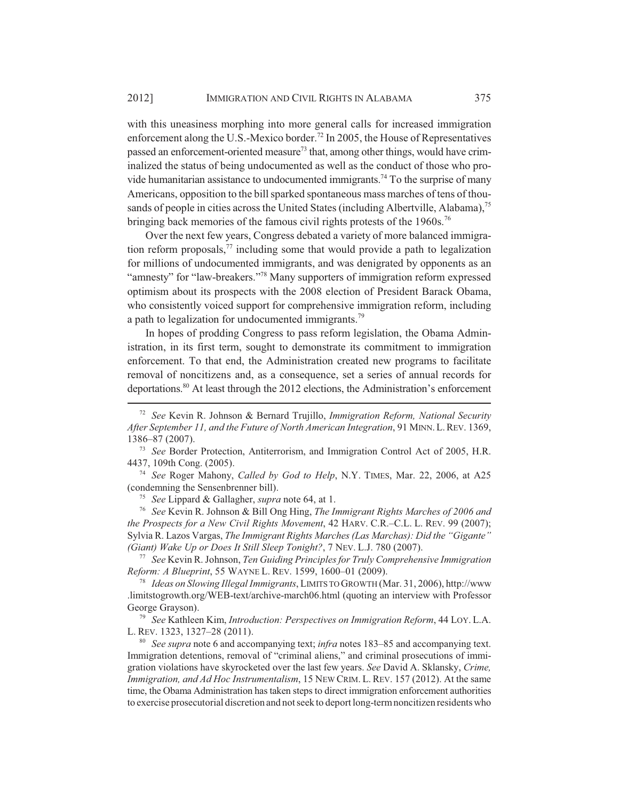with this uneasiness morphing into more general calls for increased immigration enforcement along the U.S.-Mexico border.<sup>72</sup> In 2005, the House of Representatives passed an enforcement-oriented measure<sup>73</sup> that, among other things, would have criminalized the status of being undocumented as well as the conduct of those who provide humanitarian assistance to undocumented immigrants.<sup>74</sup> To the surprise of many Americans, opposition to the bill sparked spontaneous mass marches of tens of thousands of people in cities across the United States (including Albertville, Alabama),<sup>75</sup> bringing back memories of the famous civil rights protests of the 1960s.<sup>76</sup>

Over the next few years, Congress debated a variety of more balanced immigration reform proposals, $7\overline{7}$  including some that would provide a path to legalization for millions of undocumented immigrants, and was denigrated by opponents as an "amnesty" for "law-breakers."<sup>78</sup> Many supporters of immigration reform expressed optimism about its prospects with the 2008 election of President Barack Obama, who consistently voiced support for comprehensive immigration reform, including a path to legalization for undocumented immigrants.<sup>79</sup>

In hopes of prodding Congress to pass reform legislation, the Obama Administration, in its first term, sought to demonstrate its commitment to immigration enforcement. To that end, the Administration created new programs to facilitate removal of noncitizens and, as a consequence, set a series of annual records for deportations.80 At least through the 2012 elections, the Administration's enforcement

<sup>74</sup> *See* Roger Mahony, *Called by God to Help*, N.Y. TIMES, Mar. 22, 2006, at A25 (condemning the Sensenbrenner bill).

<sup>75</sup> *See* Lippard & Gallagher, *supra* note 64, at 1.

<sup>76</sup> *See* Kevin R. Johnson & Bill Ong Hing, *The Immigrant Rights Marches of 2006 and the Prospects for a New Civil Rights Movement*, 42 HARV. C.R.–C.L. L. REV. 99 (2007); Sylvia R. Lazos Vargas, *The Immigrant Rights Marches (Las Marchas): Did the "Gigante" (Giant) Wake Up or Does It Still Sleep Tonight?*, 7 NEV. L.J. 780 (2007).

<sup>77</sup> *See* Kevin R. Johnson, *Ten Guiding Principles for Truly Comprehensive Immigration Reform: A Blueprint*, 55 WAYNE L. REV. 1599, 1600–01 (2009).

<sup>78</sup> *Ideas on Slowing Illegal Immigrants*, LIMITS TO GROWTH (Mar. 31, 2006), http://www .limitstogrowth.org/WEB-text/archive-march06.html (quoting an interview with Professor George Grayson).

<sup>79</sup> *See* Kathleen Kim, *Introduction: Perspectives on Immigration Reform*, 44 LOY. L.A. L. REV. 1323, 1327–28 (2011).

<sup>80</sup> *See supra* note 6 and accompanying text; *infra* notes 183–85 and accompanying text. Immigration detentions, removal of "criminal aliens," and criminal prosecutions of immigration violations have skyrocketed over the last few years. *See* David A. Sklansky, *Crime, Immigration, and Ad Hoc Instrumentalism*, 15 NEW CRIM. L. REV. 157 (2012). At the same time, the Obama Administration has taken steps to direct immigration enforcement authorities to exercise prosecutorial discretion and not seek to deport long-term noncitizen residents who

<sup>72</sup> *See* Kevin R. Johnson & Bernard Trujillo, *Immigration Reform, National Security After September 11, and the Future of North American Integration*, 91 MINN.L.REV. 1369, 1386–87 (2007).

<sup>73</sup> *See* Border Protection, Antiterrorism, and Immigration Control Act of 2005, H.R. 4437, 109th Cong. (2005).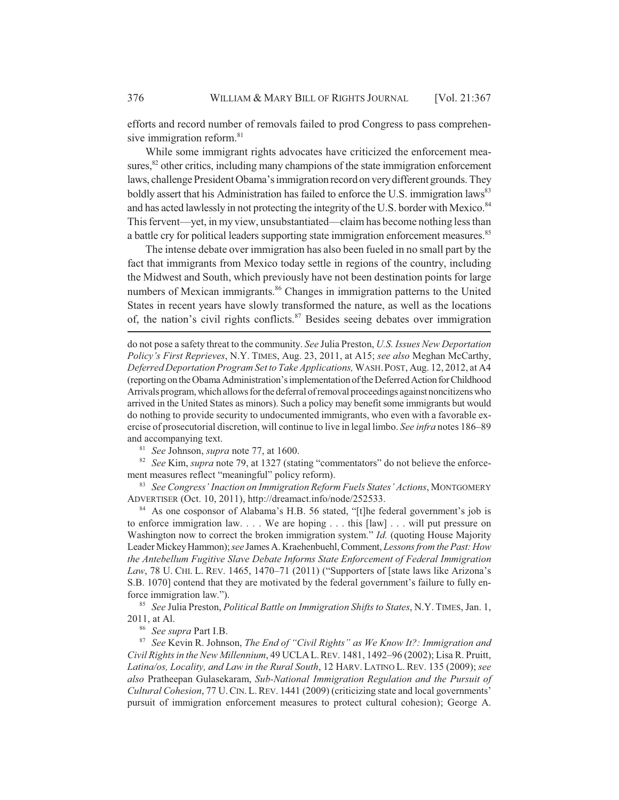efforts and record number of removals failed to prod Congress to pass comprehensive immigration reform.<sup>81</sup>

While some immigrant rights advocates have criticized the enforcement measures, $82$  other critics, including many champions of the state immigration enforcement laws, challenge President Obama's immigration record on very different grounds. They boldly assert that his Administration has failed to enforce the U.S. immigration laws<sup>83</sup> and has acted lawlessly in not protecting the integrity of the U.S. border with Mexico.<sup>84</sup> This fervent—yet, in my view, unsubstantiated—claim has become nothing less than a battle cry for political leaders supporting state immigration enforcement measures.<sup>85</sup>

The intense debate over immigration has also been fueled in no small part by the fact that immigrants from Mexico today settle in regions of the country, including the Midwest and South, which previously have not been destination points for large numbers of Mexican immigrants.<sup>86</sup> Changes in immigration patterns to the United States in recent years have slowly transformed the nature, as well as the locations of, the nation's civil rights conflicts. $87$  Besides seeing debates over immigration

do not pose a safety threat to the community. *See* Julia Preston, *U.S. Issues New Deportation Policy's First Reprieves*, N.Y. TIMES, Aug. 23, 2011, at A15; *see also* Meghan McCarthy, *Deferred Deportation Program Set to Take Applications,* WASH.POST, Aug. 12, 2012, at A4 (reporting on the Obama Administration's implementation of the Deferred Action for Childhood Arrivals program, which allows for the deferral of removal proceedings against noncitizens who arrived in the United States as minors). Such a policy may benefit some immigrants but would do nothing to provide security to undocumented immigrants, who even with a favorable exercise of prosecutorial discretion, will continue to live in legal limbo. *See infra* notes 186–89 and accompanying text.

<sup>81</sup> *See* Johnson, *supra* note 77, at 1600.

<sup>82</sup> *See* Kim, *supra* note 79, at 1327 (stating "commentators" do not believe the enforcement measures reflect "meaningful" policy reform).

<sup>83</sup> *See Congress' Inaction on Immigration Reform Fuels States' Actions*, MONTGOMERY ADVERTISER (Oct. 10, 2011), http://dreamact.info/node/252533.

<sup>84</sup> As one cosponsor of Alabama's H.B. 56 stated, "[t]he federal government's job is to enforce immigration law. . . . We are hoping . . . this [law] . . . will put pressure on Washington now to correct the broken immigration system." *Id.* (quoting House Majority Leader Mickey Hammon); *see* James A. Kraehenbuehl, Comment, *Lessons from the Past: How the Antebellum Fugitive Slave Debate Informs State Enforcement of Federal Immigration Law*, 78 U. CHI. L. REV. 1465, 1470–71 (2011) ("Supporters of [state laws like Arizona's S.B. 1070] contend that they are motivated by the federal government's failure to fully enforce immigration law.").

<sup>85</sup> *See* Julia Preston, *Political Battle on Immigration Shifts to States*, N.Y. TIMES, Jan. 1, 2011, at Al.

<sup>86</sup> *See supra* Part I.B.

<sup>87</sup> *See* Kevin R. Johnson, *The End of "Civil Rights" as We Know It?: Immigration and Civil Rights in the New Millennium*, 49 UCLAL.REV. 1481, 1492–96 (2002); Lisa R. Pruitt, *Latina/os, Locality, and Law in the Rural South*, 12 HARV. LATINO L. REV. 135 (2009); *see also* Pratheepan Gulasekaram, *Sub-National Immigration Regulation and the Pursuit of Cultural Cohesion*, 77 U.CIN.L.REV. 1441 (2009) (criticizing state and local governments' pursuit of immigration enforcement measures to protect cultural cohesion); George A.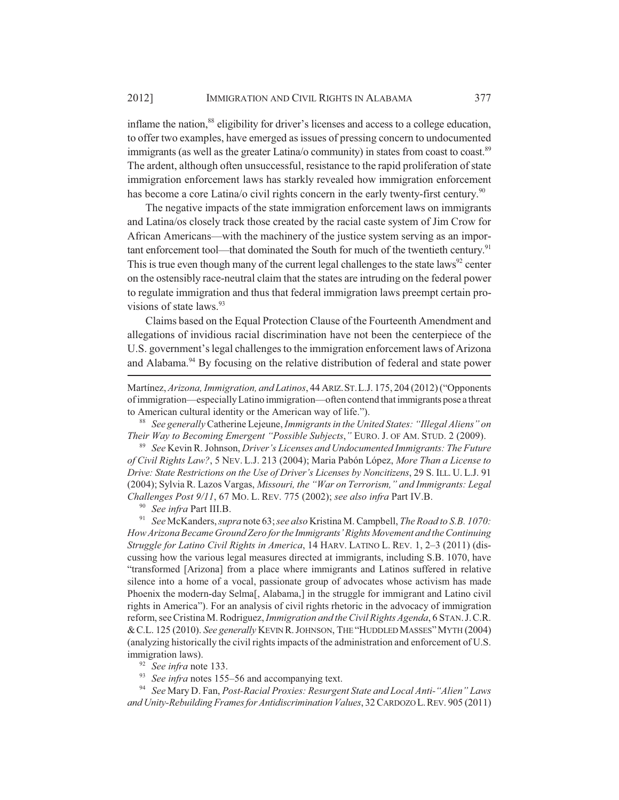inflame the nation,<sup>88</sup> eligibility for driver's licenses and access to a college education, to offer two examples, have emerged as issues of pressing concern to undocumented immigrants (as well as the greater Latina/o community) in states from coast to coast.<sup>89</sup> The ardent, although often unsuccessful, resistance to the rapid proliferation of state immigration enforcement laws has starkly revealed how immigration enforcement has become a core Latina/o civil rights concern in the early twenty-first century.<sup>90</sup>

The negative impacts of the state immigration enforcement laws on immigrants and Latina/os closely track those created by the racial caste system of Jim Crow for African Americans—with the machinery of the justice system serving as an important enforcement tool—that dominated the South for much of the twentieth century.<sup>91</sup> This is true even though many of the current legal challenges to the state laws<sup>92</sup> center on the ostensibly race-neutral claim that the states are intruding on the federal power to regulate immigration and thus that federal immigration laws preempt certain provisions of state laws.<sup>93</sup>

Claims based on the Equal Protection Clause of the Fourteenth Amendment and allegations of invidious racial discrimination have not been the centerpiece of the U.S. government's legal challenges to the immigration enforcement laws of Arizona and Alabama.<sup>94</sup> By focusing on the relative distribution of federal and state power

Martínez, *Arizona, Immigration, and Latinos*, 44 ARIZ.ST.L.J. 175, 204 (2012) ("Opponents of immigration—especially Latino immigration—often contend that immigrants pose a threat to American cultural identity or the American way of life.").

<sup>88</sup> *See generally* Catherine Lejeune, *Immigrants in the United States: "Illegal Aliens" on Their Way to Becoming Emergent "Possible Subjects*,*"* EURO. J. OF AM. STUD. 2 (2009).

<sup>89</sup> *See* Kevin R. Johnson, *Driver's Licenses and Undocumented Immigrants: The Future of Civil Rights Law?*, 5 NEV. L.J. 213 (2004); Maria Pabón López, *More Than a License to Drive: State Restrictions on the Use of Driver's Licenses by Noncitizens*, 29 S. ILL. U. L.J. 91 (2004); Sylvia R. Lazos Vargas, *Missouri, the "War on Terrorism," and Immigrants: Legal Challenges Post 9/11*, 67 MO. L. REV. 775 (2002); *see also infra* Part IV.B.

<sup>90</sup> *See infra* Part III.B.

<sup>91</sup> *See* McKanders, *supra* note 63; *see also* Kristina M. Campbell, *The Road to S.B. 1070: How Arizona Became Ground Zero for the Immigrants' Rights Movement and the Continuing Struggle for Latino Civil Rights in America*, 14 HARV. LATINO L. REV. 1, 2–3 (2011) (discussing how the various legal measures directed at immigrants, including S.B. 1070, have "transformed [Arizona] from a place where immigrants and Latinos suffered in relative silence into a home of a vocal, passionate group of advocates whose activism has made Phoenix the modern-day Selma[, Alabama,] in the struggle for immigrant and Latino civil rights in America"). For an analysis of civil rights rhetoric in the advocacy of immigration reform, see Cristina M. Rodriguez, *Immigration and the Civil Rights Agenda*, 6 STAN.J.C.R. &C.L. 125 (2010). *See generally* KEVIN R.JOHNSON, THE "HUDDLED MASSES"MYTH (2004) (analyzing historically the civil rights impacts of the administration and enforcement of U.S. immigration laws).

<sup>92</sup> *See infra* note 133.

<sup>93</sup> *See infra* notes 155–56 and accompanying text.

<sup>94</sup> *See* Mary D. Fan, *Post-Racial Proxies: Resurgent State and Local Anti-"Alien" Laws and Unity-Rebuilding Frames for Antidiscrimination Values*, 32 CARDOZO L.REV. 905 (2011)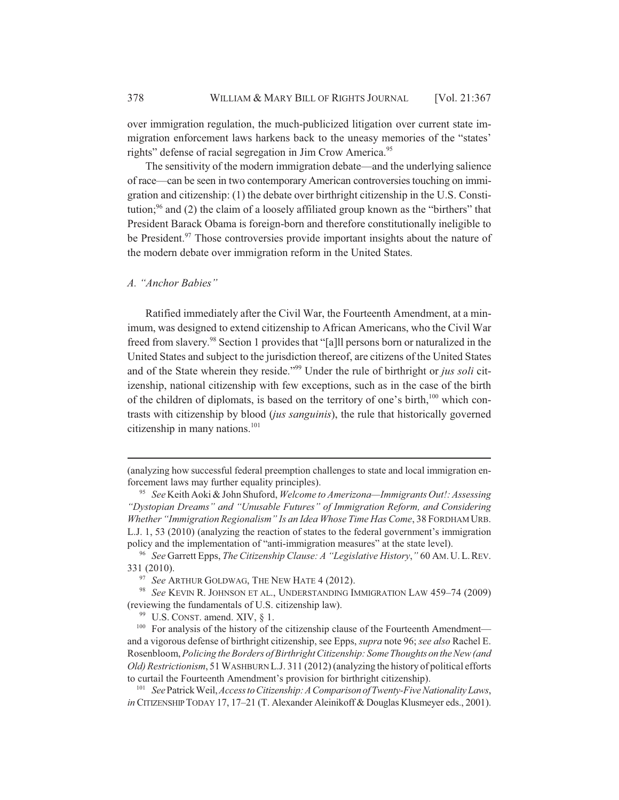over immigration regulation, the much-publicized litigation over current state immigration enforcement laws harkens back to the uneasy memories of the "states' rights" defense of racial segregation in Jim Crow America.<sup>95</sup>

The sensitivity of the modern immigration debate—and the underlying salience of race—can be seen in two contemporary American controversies touching on immigration and citizenship: (1) the debate over birthright citizenship in the U.S. Constitution; $96$  and (2) the claim of a loosely affiliated group known as the "birthers" that President Barack Obama is foreign-born and therefore constitutionally ineligible to be President.<sup>97</sup> Those controversies provide important insights about the nature of the modern debate over immigration reform in the United States.

#### *A. "Anchor Babies"*

Ratified immediately after the Civil War, the Fourteenth Amendment, at a minimum, was designed to extend citizenship to African Americans, who the Civil War freed from slavery.<sup>98</sup> Section 1 provides that "[a]ll persons born or naturalized in the United States and subject to the jurisdiction thereof, are citizens of the United States and of the State wherein they reside."99 Under the rule of birthright or *jus soli* citizenship, national citizenship with few exceptions, such as in the case of the birth of the children of diplomats, is based on the territory of one's birth,<sup>100</sup> which contrasts with citizenship by blood (*jus sanguinis*), the rule that historically governed citizenship in many nations. $101$ 

<sup>(</sup>analyzing how successful federal preemption challenges to state and local immigration enforcement laws may further equality principles).

<sup>95</sup> *See* Keith Aoki & John Shuford, *Welcome to Amerizona—Immigrants Out!: Assessing "Dystopian Dreams" and "Unusable Futures" of Immigration Reform, and Considering Whether "Immigration Regionalism" Is an Idea Whose Time Has Come*, 38 FORDHAM URB. L.J. 1, 53 (2010) (analyzing the reaction of states to the federal government's immigration policy and the implementation of "anti-immigration measures" at the state level).

<sup>96</sup> *See* Garrett Epps, *The Citizenship Clause: A "Legislative History*,*"* 60 AM.U.L.REV. 331 (2010).

<sup>&</sup>lt;sup>97</sup> See ARTHUR GOLDWAG, THE NEW HATE 4 (2012).

<sup>98</sup> *See* KEVIN R. JOHNSON ET AL., UNDERSTANDING IMMIGRATION LAW 459–74 (2009) (reviewing the fundamentals of U.S. citizenship law).

<sup>&</sup>lt;sup>99</sup> U.S. CONST. amend. XIV, § 1.

<sup>&</sup>lt;sup>100</sup> For analysis of the history of the citizenship clause of the Fourteenth Amendment and a vigorous defense of birthright citizenship, see Epps, *supra* note 96; *see also* Rachel E. Rosenbloom, *Policing the Borders of Birthright Citizenship: Some Thoughts on the New (and Old) Restrictionism*, 51 WASHBURN L.J. 311 (2012) (analyzing the history of political efforts to curtail the Fourteenth Amendment's provision for birthright citizenship).

<sup>101</sup> *See* Patrick Weil, *Access to Citizenship: A Comparison of Twenty-Five Nationality Laws*, *in* CITIZENSHIP TODAY 17, 17–21 (T. Alexander Aleinikoff & Douglas Klusmeyer eds., 2001).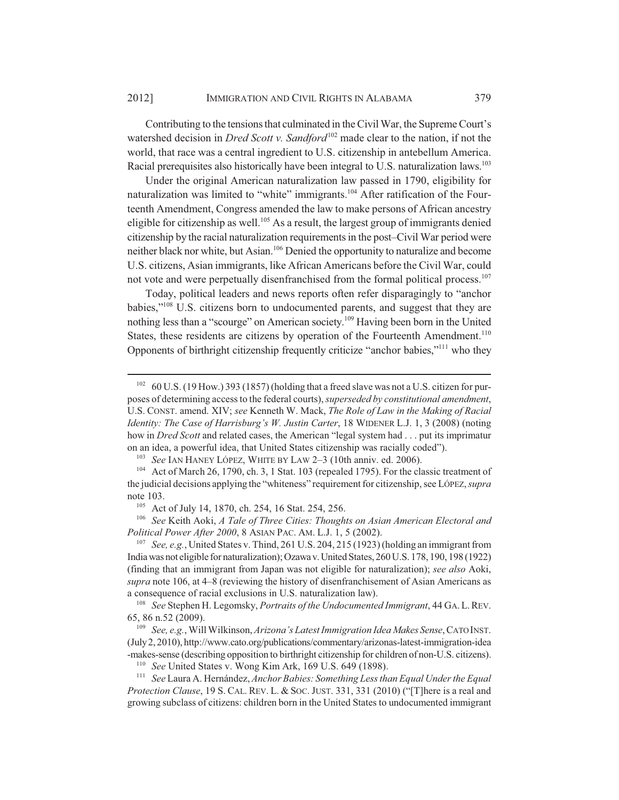Contributing to the tensions that culminated in the Civil War, the Supreme Court's watershed decision in *Dred Scott v. Sandford*<sup>102</sup> made clear to the nation, if not the world, that race was a central ingredient to U.S. citizenship in antebellum America. Racial prerequisites also historically have been integral to U.S. naturalization laws.<sup>103</sup>

Under the original American naturalization law passed in 1790, eligibility for naturalization was limited to "white" immigrants.<sup>104</sup> After ratification of the Fourteenth Amendment, Congress amended the law to make persons of African ancestry eligible for citizenship as well.<sup>105</sup> As a result, the largest group of immigrants denied citizenship by the racial naturalization requirements in the post–Civil War period were neither black nor white, but Asian.106 Denied the opportunity to naturalize and become U.S. citizens, Asian immigrants, like African Americans before the Civil War, could not vote and were perpetually disenfranchised from the formal political process.<sup>107</sup>

Today, political leaders and news reports often refer disparagingly to "anchor babies,"108 U.S. citizens born to undocumented parents, and suggest that they are nothing less than a "scourge" on American society.109 Having been born in the United States, these residents are citizens by operation of the Fourteenth Amendment.<sup>110</sup> Opponents of birthright citizenship frequently criticize "anchor babies,"111 who they

<sup>106</sup> *See* Keith Aoki, *A Tale of Three Cities: Thoughts on Asian American Electoral and Political Power After 2000*, 8 ASIAN PAC. AM. L.J. 1, 5 (2002).

<sup>107</sup> *See, e.g.*, United States v. Thind, 261 U.S. 204, 215 (1923) (holding an immigrant from India was not eligible for naturalization); Ozawa v. United States, 260 U.S. 178, 190, 198 (1922) (finding that an immigrant from Japan was not eligible for naturalization); *see also* Aoki, *supra* note 106, at 4–8 (reviewing the history of disenfranchisement of Asian Americans as a consequence of racial exclusions in U.S. naturalization law).

<sup>108</sup> *See* Stephen H. Legomsky, *Portraits of the Undocumented Immigrant*, 44 GA.L.REV. 65, 86 n.52 (2009).

<sup>109</sup> *See, e.g.*, Will Wilkinson, *Arizona's Latest Immigration Idea Makes Sense*, CATO INST. (July 2, 2010), http://www.cato.org/publications/commentary/arizonas-latest-immigration-idea -makes-sense (describing opposition to birthright citizenship for children of non-U.S. citizens).

<sup>111</sup> *See* Laura A. Hernández, *Anchor Babies: Something Less than Equal Under the Equal Protection Clause*, 19 S. CAL. REV. L. & SOC.JUST. 331, 331 (2010) ("[T]here is a real and growing subclass of citizens: children born in the United States to undocumented immigrant

<sup>&</sup>lt;sup>102</sup> 60 U.S. (19 How.) 393 (1857) (holding that a freed slave was not a U.S. citizen for purposes of determining access to the federal courts), *superseded by constitutional amendment*, U.S. CONST. amend. XIV; *see* Kenneth W. Mack, *The Role of Law in the Making of Racial Identity: The Case of Harrisburg's W. Justin Carter*, 18 WIDENER L.J. 1, 3 (2008) (noting how in *Dred Scott* and related cases, the American "legal system had . . . put its imprimatur on an idea, a powerful idea, that United States citizenship was racially coded").

<sup>103</sup> *See* IAN HANEY LÓPEZ, WHITE BY LAW 2–3 (10th anniv. ed. 2006).

<sup>104</sup> Act of March 26, 1790, ch. 3, 1 Stat. 103 (repealed 1795). For the classic treatment of the judicial decisions applying the "whiteness" requirement for citizenship, see LÓPEZ, *supra* note 103.

<sup>105</sup> Act of July 14, 1870, ch. 254, 16 Stat. 254, 256.

<sup>110</sup> *See* United States v. Wong Kim Ark, 169 U.S. 649 (1898).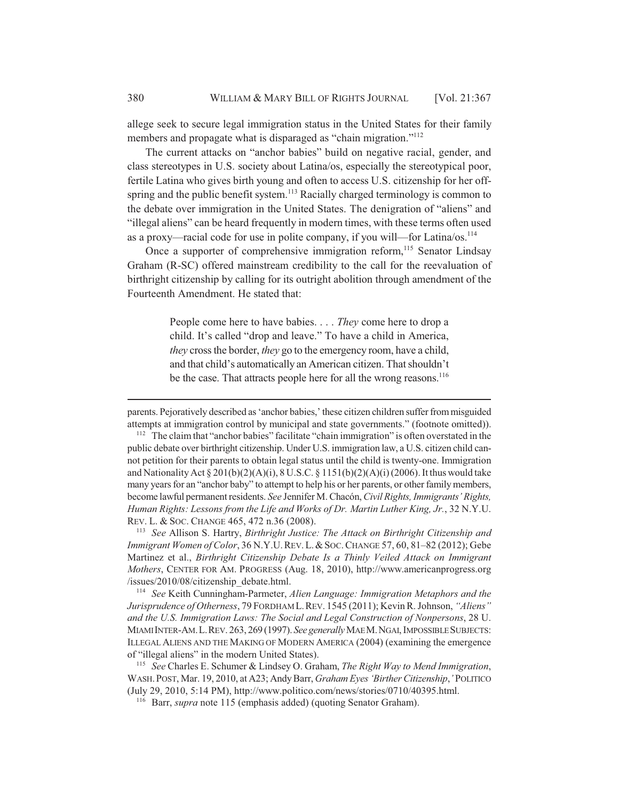allege seek to secure legal immigration status in the United States for their family members and propagate what is disparaged as "chain migration."<sup>112</sup>

The current attacks on "anchor babies" build on negative racial, gender, and class stereotypes in U.S. society about Latina/os, especially the stereotypical poor, fertile Latina who gives birth young and often to access U.S. citizenship for her offspring and the public benefit system.<sup>113</sup> Racially charged terminology is common to the debate over immigration in the United States. The denigration of "aliens" and "illegal aliens" can be heard frequently in modern times, with these terms often used as a proxy—racial code for use in polite company, if you will—for Latina/os.<sup>114</sup>

Once a supporter of comprehensive immigration reform,<sup>115</sup> Senator Lindsay Graham (R-SC) offered mainstream credibility to the call for the reevaluation of birthright citizenship by calling for its outright abolition through amendment of the Fourteenth Amendment. He stated that:

> People come here to have babies. . . . *They* come here to drop a child. It's called "drop and leave." To have a child in America, *they* cross the border, *they* go to the emergency room, have a child, and that child's automatically an American citizen. That shouldn't be the case. That attracts people here for all the wrong reasons.<sup>116</sup>

parents. Pejoratively described as 'anchor babies,' these citizen children suffer from misguided attempts at immigration control by municipal and state governments." (footnote omitted)).

<sup>112</sup> The claim that "anchor babies" facilitate "chain immigration" is often overstated in the public debate over birthright citizenship. Under U.S. immigration law, a U.S. citizen child cannot petition for their parents to obtain legal status until the child is twenty-one. Immigration and Nationality Act  $\S 201(b)(2)(A)(i)$ ,  $\S U.S.C. \S 1151(b)(2)(A)(i)$  (2006). It thus would take many years for an "anchor baby" to attempt to help his or her parents, or other family members, become lawful permanent residents. *See* Jennifer M. Chacón, *Civil Rights, Immigrants' Rights, Human Rights: Lessons from the Life and Works of Dr. Martin Luther King, Jr.*, 32 N.Y.U. REV. L. & SOC. CHANGE 465, 472 n.36 (2008).

<sup>113</sup> *See* Allison S. Hartry, *Birthright Justice: The Attack on Birthright Citizenship and Immigrant Women of Color*, 36 N.Y.U.REV.L.&SOC.CHANGE 57, 60, 81–82 (2012); Gebe Martinez et al., *Birthright Citizenship Debate Is a Thinly Veiled Attack on Immigrant Mothers*, CENTER FOR AM. PROGRESS (Aug. 18, 2010), http://www.americanprogress.org /issues/2010/08/citizenship\_debate.html.

<sup>114</sup> *See* Keith Cunningham-Parmeter, *Alien Language: Immigration Metaphors and the Jurisprudence of Otherness*, 79 FORDHAM L.REV. 1545 (2011); Kevin R. Johnson, *"Aliens" and the U.S. Immigration Laws: The Social and Legal Construction of Nonpersons*, 28 U. MIAMI INTER-AM.L.REV. 263, 269 (1997). *See generally* MAE M.NGAI, IMPOSSIBLE SUBJECTS: ILLEGAL ALIENS AND THE MAKING OF MODERN AMERICA (2004) (examining the emergence of "illegal aliens" in the modern United States).

<sup>115</sup> *See* Charles E. Schumer & Lindsey O. Graham, *The Right Way to Mend Immigration*, WASH.POST, Mar. 19, 2010, at A23; Andy Barr, *Graham Eyes 'Birther Citizenship*,*'* POLITICO (July 29, 2010, 5:14 PM), http://www.politico.com/news/stories/0710/40395.html.

<sup>116</sup> Barr, *supra* note 115 (emphasis added) (quoting Senator Graham).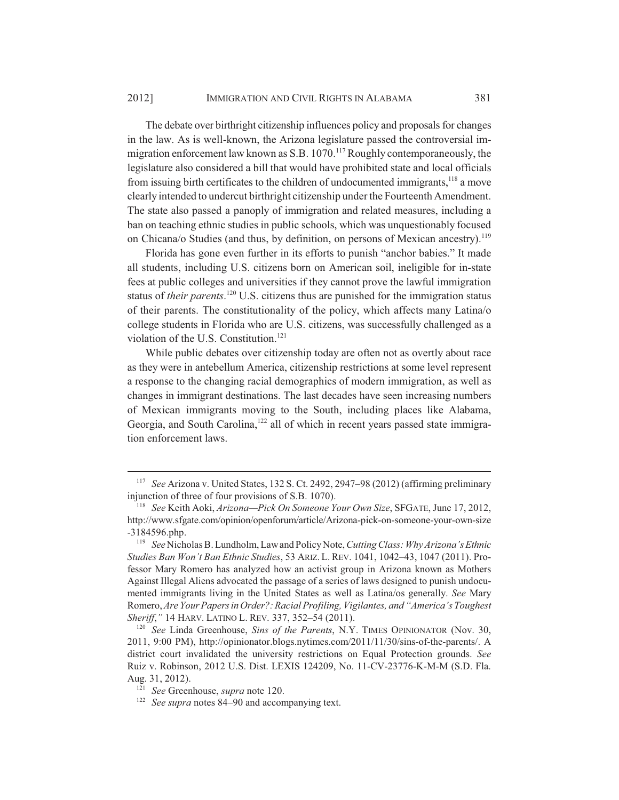The debate over birthright citizenship influences policy and proposals for changes in the law. As is well-known, the Arizona legislature passed the controversial immigration enforcement law known as S.B.  $1070$ .<sup>117</sup> Roughly contemporaneously, the legislature also considered a bill that would have prohibited state and local officials from issuing birth certificates to the children of undocumented immigrants,<sup>118</sup> a move clearly intended to undercut birthright citizenship under the Fourteenth Amendment. The state also passed a panoply of immigration and related measures, including a ban on teaching ethnic studies in public schools, which was unquestionably focused on Chicana/o Studies (and thus, by definition, on persons of Mexican ancestry).<sup>119</sup>

Florida has gone even further in its efforts to punish "anchor babies." It made all students, including U.S. citizens born on American soil, ineligible for in-state fees at public colleges and universities if they cannot prove the lawful immigration status of *their parents*. 120 U.S. citizens thus are punished for the immigration status of their parents. The constitutionality of the policy, which affects many Latina/o college students in Florida who are U.S. citizens, was successfully challenged as a violation of the U.S. Constitution.<sup>121</sup>

While public debates over citizenship today are often not as overtly about race as they were in antebellum America, citizenship restrictions at some level represent a response to the changing racial demographics of modern immigration, as well as changes in immigrant destinations. The last decades have seen increasing numbers of Mexican immigrants moving to the South, including places like Alabama, Georgia, and South Carolina,<sup>122</sup> all of which in recent years passed state immigration enforcement laws.

<sup>117</sup> *See* Arizona v. United States, 132 S. Ct. 2492, 2947–98 (2012) (affirming preliminary injunction of three of four provisions of S.B. 1070).

<sup>118</sup> *See* Keith Aoki, *Arizona—Pick On Someone Your Own Size*, SFGATE, June 17, 2012, http://www.sfgate.com/opinion/openforum/article/Arizona-pick-on-someone-your-own-size -3184596.php.

<sup>119</sup> *See* Nicholas B. Lundholm, Law and Policy Note, *Cutting Class: Why Arizona's Ethnic Studies Ban Won't Ban Ethnic Studies*, 53 ARIZ. L. REV. 1041, 1042–43, 1047 (2011). Professor Mary Romero has analyzed how an activist group in Arizona known as Mothers Against Illegal Aliens advocated the passage of a series of laws designed to punish undocumented immigrants living in the United States as well as Latina/os generally. *See* Mary Romero, *Are Your Papers in Order?: Racial Profiling, Vigilantes, and "America's Toughest Sheriff*,*"* 14 HARV. LATINO L. REV. 337, 352–54 (2011).

<sup>120</sup> *See* Linda Greenhouse, *Sins of the Parents*, N.Y. TIMES OPINIONATOR (Nov. 30, 2011, 9:00 PM), http://opinionator.blogs.nytimes.com/2011/11/30/sins-of-the-parents/. A district court invalidated the university restrictions on Equal Protection grounds. *See* Ruiz v. Robinson, 2012 U.S. Dist. LEXIS 124209, No. 11-CV-23776-K-M-M (S.D. Fla. Aug. 31, 2012).

<sup>121</sup> *See* Greenhouse, *supra* note 120.

<sup>122</sup> *See supra* notes 84–90 and accompanying text.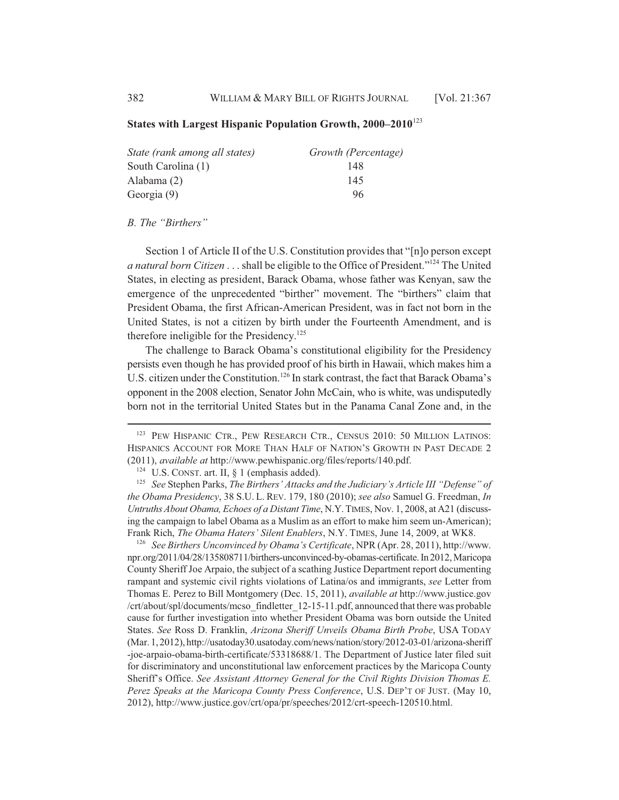#### **States with Largest Hispanic Population Growth, 2000–2010**<sup>123</sup>

| State (rank among all states) | Growth (Percentage) |
|-------------------------------|---------------------|
| South Carolina (1)            | 148                 |
| Alabama (2)                   | 145                 |
| Georgia (9)                   | 96                  |

#### *B. The "Birthers"*

Section 1 of Article II of the U.S. Constitution provides that "[n]o person except *a natural born Citizen* . . . shall be eligible to the Office of President."124 The United States, in electing as president, Barack Obama, whose father was Kenyan, saw the emergence of the unprecedented "birther" movement. The "birthers" claim that President Obama, the first African-American President, was in fact not born in the United States, is not a citizen by birth under the Fourteenth Amendment, and is therefore ineligible for the Presidency.<sup>125</sup>

The challenge to Barack Obama's constitutional eligibility for the Presidency persists even though he has provided proof of his birth in Hawaii, which makes him a U.S. citizen under the Constitution.<sup>126</sup> In stark contrast, the fact that Barack Obama's opponent in the 2008 election, Senator John McCain, who is white, was undisputedly born not in the territorial United States but in the Panama Canal Zone and, in the

<sup>126</sup> *See Birthers Unconvinced by Obama's Certificate*, NPR (Apr. 28, 2011), http://www. npr.org/2011/04/28/135808711/birthers-unconvinced-by-obamas-certificate. In 2012, Maricopa County Sheriff Joe Arpaio, the subject of a scathing Justice Department report documenting rampant and systemic civil rights violations of Latina/os and immigrants, *see* Letter from Thomas E. Perez to Bill Montgomery (Dec. 15, 2011), *available at* http://www.justice.gov /crt/about/spl/documents/mcso\_findletter\_12-15-11.pdf, announced that there was probable cause for further investigation into whether President Obama was born outside the United States. *See* Ross D. Franklin, *Arizona Sheriff Unveils Obama Birth Probe*, USA TODAY (Mar. 1, 2012), http://usatoday30.usatoday.com/news/nation/story/2012-03-01/arizona-sheriff -joe-arpaio-obama-birth-certificate/53318688/1. The Department of Justice later filed suit for discriminatory and unconstitutional law enforcement practices by the Maricopa County Sheriff's Office. *See Assistant Attorney General for the Civil Rights Division Thomas E. Perez Speaks at the Maricopa County Press Conference*, U.S. DEP'T OF JUST. (May 10, 2012), http://www.justice.gov/crt/opa/pr/speeches/2012/crt-speech-120510.html.

<sup>&</sup>lt;sup>123</sup> PEW HISPANIC CTR., PEW RESEARCH CTR., CENSUS 2010: 50 MILLION LATINOS: HISPANICS ACCOUNT FOR MORE THAN HALF OF NATION'S GROWTH IN PAST DECADE 2 (2011), *available at* http://www.pewhispanic.org/files/reports/140.pdf.

<sup>&</sup>lt;sup>124</sup> U.S. CONST. art. II,  $\S$  1 (emphasis added).

<sup>125</sup> *See* Stephen Parks, *The Birthers' Attacks and the Judiciary's Article III "Defense" of the Obama Presidency*, 38 S.U. L. REV. 179, 180 (2010); *see also* Samuel G. Freedman, *In Untruths About Obama, Echoes of a Distant Time*, N.Y.TIMES, Nov. 1, 2008, at A21 (discussing the campaign to label Obama as a Muslim as an effort to make him seem un-American); Frank Rich, *The Obama Haters' Silent Enablers*, N.Y. TIMES, June 14, 2009, at WK8.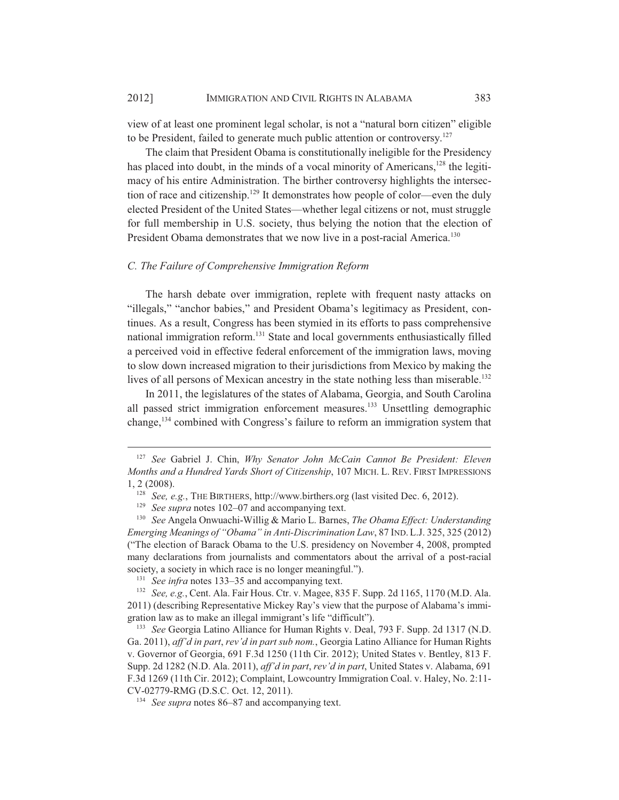view of at least one prominent legal scholar, is not a "natural born citizen" eligible to be President, failed to generate much public attention or controversy.<sup>127</sup>

The claim that President Obama is constitutionally ineligible for the Presidency has placed into doubt, in the minds of a vocal minority of Americans,<sup>128</sup> the legitimacy of his entire Administration. The birther controversy highlights the intersection of race and citizenship.<sup>129</sup> It demonstrates how people of color—even the duly elected President of the United States—whether legal citizens or not, must struggle for full membership in U.S. society, thus belying the notion that the election of President Obama demonstrates that we now live in a post-racial America.<sup>130</sup>

#### *C. The Failure of Comprehensive Immigration Reform*

The harsh debate over immigration, replete with frequent nasty attacks on "illegals," "anchor babies," and President Obama's legitimacy as President, continues. As a result, Congress has been stymied in its efforts to pass comprehensive national immigration reform.<sup>131</sup> State and local governments enthusiastically filled a perceived void in effective federal enforcement of the immigration laws, moving to slow down increased migration to their jurisdictions from Mexico by making the lives of all persons of Mexican ancestry in the state nothing less than miserable.<sup>132</sup>

In 2011, the legislatures of the states of Alabama, Georgia, and South Carolina all passed strict immigration enforcement measures.<sup>133</sup> Unsettling demographic change,134 combined with Congress's failure to reform an immigration system that

<sup>127</sup> *See* Gabriel J. Chin, *Why Senator John McCain Cannot Be President: Eleven Months and a Hundred Yards Short of Citizenship*, 107 MICH. L. REV. FIRST IMPRESSIONS 1, 2 (2008).

<sup>&</sup>lt;sup>128</sup> *See, e.g.*, THE BIRTHERS, http://www.birthers.org (last visited Dec. 6, 2012).

<sup>&</sup>lt;sup>129</sup> *See supra* notes 102–07 and accompanying text.

<sup>130</sup> *See* Angela Onwuachi-Willig & Mario L. Barnes, *The Obama Effect: Understanding Emerging Meanings of "Obama" in Anti-Discrimination Law*, 87 IND.L.J. 325, 325 (2012) ("The election of Barack Obama to the U.S. presidency on November 4, 2008, prompted many declarations from journalists and commentators about the arrival of a post-racial society, a society in which race is no longer meaningful.").

<sup>&</sup>lt;sup>131</sup> *See infra* notes 133–35 and accompanying text.

<sup>132</sup> *See, e.g.*, Cent. Ala. Fair Hous. Ctr. v. Magee, 835 F. Supp. 2d 1165, 1170 (M.D. Ala. 2011) (describing Representative Mickey Ray's view that the purpose of Alabama's immigration law as to make an illegal immigrant's life "difficult").

<sup>133</sup> *See* Georgia Latino Alliance for Human Rights v. Deal, 793 F. Supp. 2d 1317 (N.D. Ga. 2011), *aff'd in part*, *rev'd in part sub nom.*, Georgia Latino Alliance for Human Rights v. Governor of Georgia, 691 F.3d 1250 (11th Cir. 2012); United States v. Bentley, 813 F. Supp. 2d 1282 (N.D. Ala. 2011), *aff'd in part*, *rev'd in part*, United States v. Alabama, 691 F.3d 1269 (11th Cir. 2012); Complaint, Lowcountry Immigration Coal. v. Haley, No. 2:11- CV-02779-RMG (D.S.C. Oct. 12, 2011).

<sup>134</sup> *See supra* notes 86–87 and accompanying text.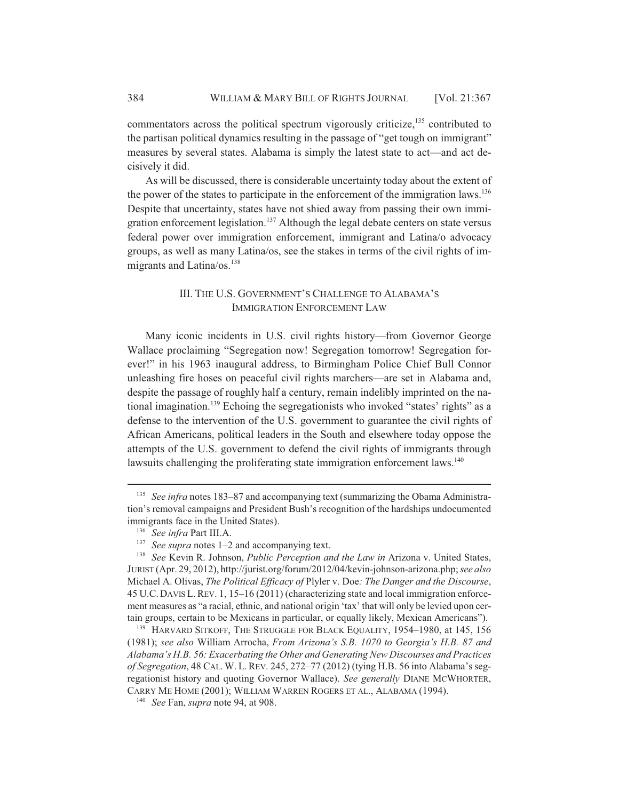commentators across the political spectrum vigorously criticize,<sup>135</sup> contributed to the partisan political dynamics resulting in the passage of "get tough on immigrant" measures by several states. Alabama is simply the latest state to act—and act decisively it did.

As will be discussed, there is considerable uncertainty today about the extent of the power of the states to participate in the enforcement of the immigration laws.<sup>136</sup> Despite that uncertainty, states have not shied away from passing their own immigration enforcement legislation.<sup>137</sup> Although the legal debate centers on state versus federal power over immigration enforcement, immigrant and Latina/o advocacy groups, as well as many Latina/os, see the stakes in terms of the civil rights of immigrants and Latina/os. $138$ 

# III. THE U.S. GOVERNMENT'S CHALLENGE TO ALABAMA'S IMMIGRATION ENFORCEMENT LAW

Many iconic incidents in U.S. civil rights history—from Governor George Wallace proclaiming "Segregation now! Segregation tomorrow! Segregation forever!" in his 1963 inaugural address, to Birmingham Police Chief Bull Connor unleashing fire hoses on peaceful civil rights marchers—are set in Alabama and, despite the passage of roughly half a century, remain indelibly imprinted on the national imagination.<sup>139</sup> Echoing the segregationists who invoked "states' rights" as a defense to the intervention of the U.S. government to guarantee the civil rights of African Americans, political leaders in the South and elsewhere today oppose the attempts of the U.S. government to defend the civil rights of immigrants through lawsuits challenging the proliferating state immigration enforcement laws.<sup>140</sup>

<sup>&</sup>lt;sup>135</sup> *See infra* notes 183–87 and accompanying text (summarizing the Obama Administration's removal campaigns and President Bush's recognition of the hardships undocumented immigrants face in the United States).

<sup>136</sup> *See infra* Part III.A.

<sup>&</sup>lt;sup>137</sup> *See supra* notes 1–2 and accompanying text.

<sup>138</sup> *See* Kevin R. Johnson, *Public Perception and the Law in* Arizona v. United States, JURIST (Apr. 29, 2012), http://jurist.org/forum/2012/04/kevin-johnson-arizona.php; *see also* Michael A. Olivas, *The Political Efficacy of* Plyler v. Doe*: The Danger and the Discourse*, 45 U.C. DAVIS L.REV. 1, 15–16 (2011) (characterizing state and local immigration enforcement measures as "a racial, ethnic, and national origin 'tax' that will only be levied upon certain groups, certain to be Mexicans in particular, or equally likely, Mexican Americans").

<sup>&</sup>lt;sup>139</sup> HARVARD SITKOFF, THE STRUGGLE FOR BLACK EQUALITY, 1954–1980, at 145, 156 (1981); *see also* William Arrocha, *From Arizona's S.B. 1070 to Georgia's H.B. 87 and Alabama's H.B. 56: Exacerbating the Other and Generating New Discourses and Practices of Segregation*, 48 CAL. W. L.REV. 245, 272–77 (2012) (tying H.B. 56 into Alabama's segregationist history and quoting Governor Wallace). *See generally* DIANE MCWHORTER, CARRY ME HOME (2001); WILLIAM WARREN ROGERS ET AL., ALABAMA (1994).

<sup>140</sup> *See* Fan, *supra* note 94, at 908.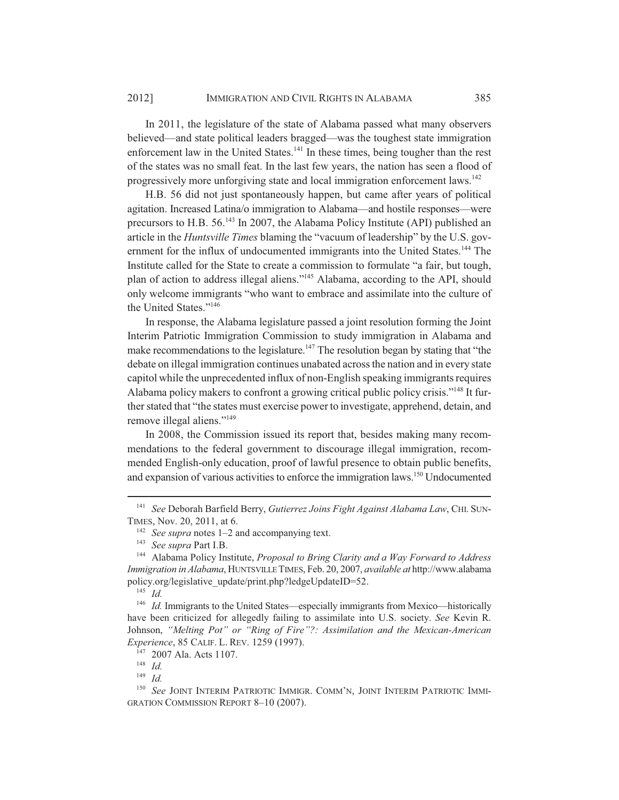In 2011, the legislature of the state of Alabama passed what many observers believed—and state political leaders bragged—was the toughest state immigration enforcement law in the United States.<sup>141</sup> In these times, being tougher than the rest of the states was no small feat. In the last few years, the nation has seen a flood of progressively more unforgiving state and local immigration enforcement laws.<sup>142</sup>

H.B. 56 did not just spontaneously happen, but came after years of political agitation. Increased Latina/o immigration to Alabama—and hostile responses—were precursors to H.B. 56.143 In 2007, the Alabama Policy Institute (API) published an article in the *Huntsville Times* blaming the "vacuum of leadership" by the U.S. government for the influx of undocumented immigrants into the United States.<sup>144</sup> The Institute called for the State to create a commission to formulate "a fair, but tough, plan of action to address illegal aliens."145 Alabama, according to the API, should only welcome immigrants "who want to embrace and assimilate into the culture of the United States."<sup>146</sup>

In response, the Alabama legislature passed a joint resolution forming the Joint Interim Patriotic Immigration Commission to study immigration in Alabama and make recommendations to the legislature.<sup>147</sup> The resolution began by stating that "the debate on illegal immigration continues unabated across the nation and in every state capitol while the unprecedented influx of non-English speaking immigrants requires Alabama policy makers to confront a growing critical public policy crisis."<sup>148</sup> It further stated that "the states must exercise power to investigate, apprehend, detain, and remove illegal aliens."<sup>149</sup>

In 2008, the Commission issued its report that, besides making many recommendations to the federal government to discourage illegal immigration, recommended English-only education, proof of lawful presence to obtain public benefits, and expansion of various activities to enforce the immigration laws.150 Undocumented

<sup>146</sup> *Id.* Immigrants to the United States—especially immigrants from Mexico—historically have been criticized for allegedly failing to assimilate into U.S. society. *See* Kevin R. Johnson, *"Melting Pot" or "Ring of Fire"?: Assimilation and the Mexican-American Experience*, 85 CALIF. L. REV. 1259 (1997).

<sup>141</sup> *See* Deborah Barfield Berry, *Gutierrez Joins Fight Against Alabama Law*, CHI. SUN-TIMES, Nov. 20, 2011, at 6.

<sup>142</sup> *See supra* notes 1–2 and accompanying text.

<sup>143</sup> *See supra* Part I.B.

<sup>144</sup> Alabama Policy Institute, *Proposal to Bring Clarity and a Way Forward to Address Immigration in Alabama*, HUNTSVILLE TIMES, Feb. 20, 2007, *available at* http://www.alabama policy.org/legislative\_update/print.php?ledgeUpdateID=52.

<sup>145</sup> *Id.*

<sup>147</sup> 2007 Ala. Acts 1107.

<sup>148</sup> *Id.*

<sup>149</sup> *Id.*

<sup>150</sup> *See* JOINT INTERIM PATRIOTIC IMMIGR. COMM'N, JOINT INTERIM PATRIOTIC IMMI-GRATION COMMISSION REPORT 8–10 (2007).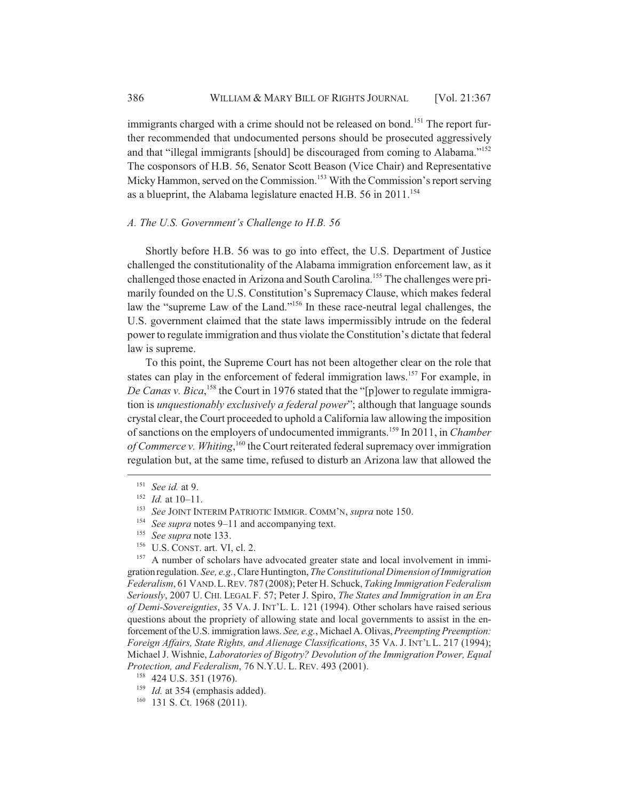immigrants charged with a crime should not be released on bond.<sup>151</sup> The report further recommended that undocumented persons should be prosecuted aggressively and that "illegal immigrants [should] be discouraged from coming to Alabama."152 The cosponsors of H.B. 56, Senator Scott Beason (Vice Chair) and Representative Micky Hammon, served on the Commission.<sup>153</sup> With the Commission's report serving as a blueprint, the Alabama legislature enacted H.B.  $56$  in  $2011$ .<sup>154</sup>

#### *A. The U.S. Government's Challenge to H.B. 56*

Shortly before H.B. 56 was to go into effect, the U.S. Department of Justice challenged the constitutionality of the Alabama immigration enforcement law, as it challenged those enacted in Arizona and South Carolina.155 The challenges were primarily founded on the U.S. Constitution's Supremacy Clause, which makes federal law the "supreme Law of the Land."156 In these race-neutral legal challenges, the U.S. government claimed that the state laws impermissibly intrude on the federal power to regulate immigration and thus violate the Constitution's dictate that federal law is supreme.

To this point, the Supreme Court has not been altogether clear on the role that states can play in the enforcement of federal immigration laws.<sup>157</sup> For example, in De Canas v. Bica,<sup>158</sup> the Court in 1976 stated that the "[p]ower to regulate immigration is *unquestionably exclusively a federal power*"; although that language sounds crystal clear, the Court proceeded to uphold a California law allowing the imposition of sanctions on the employers of undocumented immigrants.159 In 2011, in *Chamber* of Commerce v. Whiting,<sup>160</sup> the Court reiterated federal supremacy over immigration regulation but, at the same time, refused to disturb an Arizona law that allowed the

<sup>151</sup> *See id.* at 9.

<sup>152</sup> *Id.* at 10–11.

<sup>&</sup>lt;sup>153</sup> *See JOINT INTERIM PATRIOTIC IMMIGR. COMM'N, supra* note 150.

<sup>&</sup>lt;sup>154</sup> *See supra* notes 9–11 and accompanying text.<br><sup>155</sup> *See supra* note 133

<sup>&</sup>lt;sup>155</sup> *See supra* note 133.<br><sup>156</sup> IJS CONST art VI

U.S. CONST. art. VI, cl. 2.

<sup>&</sup>lt;sup>157</sup> A number of scholars have advocated greater state and local involvement in immigration regulation. *See, e.g.*, Clare Huntington, *The Constitutional Dimension of Immigration Federalism*, 61 VAND.L.REV. 787 (2008); Peter H. Schuck, *Taking Immigration Federalism Seriously*, 2007 U. CHI. LEGAL F. 57; Peter J. Spiro, *The States and Immigration in an Era of Demi-Sovereignties*, 35 VA. J. INT'L. L. 121 (1994). Other scholars have raised serious questions about the propriety of allowing state and local governments to assist in the enforcement of the U.S. immigration laws. *See, e.g.*, Michael A. Olivas, *Preempting Preemption: Foreign Affairs, State Rights, and Alienage Classifications*, 35 VA. J. INT'L L. 217 (1994); Michael J. Wishnie, *Laboratories of Bigotry? Devolution of the Immigration Power, Equal Protection, and Federalism*, 76 N.Y.U. L. REV. 493 (2001).

<sup>158</sup> 424 U.S. 351 (1976).

<sup>&</sup>lt;sup>159</sup> *Id.* at 354 (emphasis added).

<sup>160</sup> 131 S. Ct. 1968 (2011).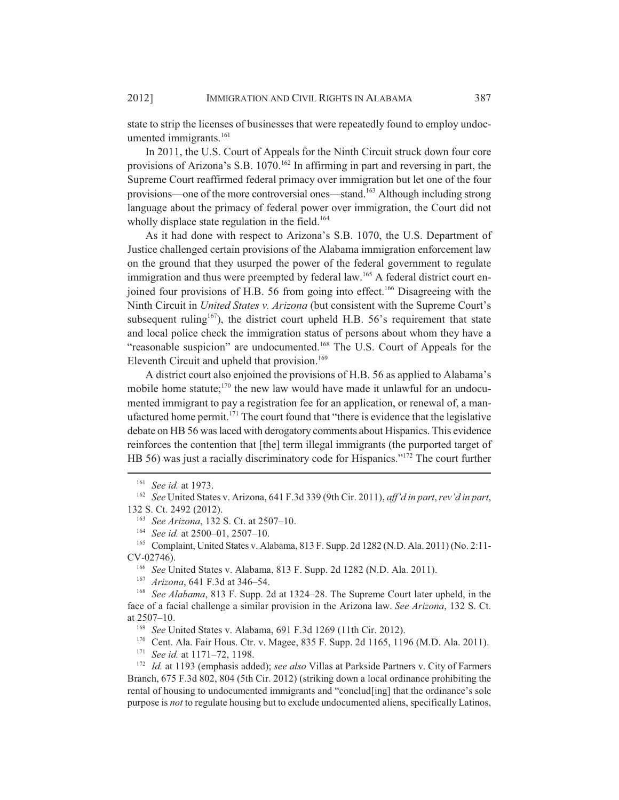state to strip the licenses of businesses that were repeatedly found to employ undocumented immigrants.<sup>161</sup>

In 2011, the U.S. Court of Appeals for the Ninth Circuit struck down four core provisions of Arizona's S.B. 1070.<sup>162</sup> In affirming in part and reversing in part, the Supreme Court reaffirmed federal primacy over immigration but let one of the four provisions—one of the more controversial ones—stand.163 Although including strong language about the primacy of federal power over immigration, the Court did not wholly displace state regulation in the field.<sup>164</sup>

As it had done with respect to Arizona's S.B. 1070, the U.S. Department of Justice challenged certain provisions of the Alabama immigration enforcement law on the ground that they usurped the power of the federal government to regulate immigration and thus were preempted by federal law.<sup>165</sup> A federal district court enjoined four provisions of H.B. 56 from going into effect.<sup>166</sup> Disagreeing with the Ninth Circuit in *United States v. Arizona* (but consistent with the Supreme Court's subsequent ruling<sup>167</sup>), the district court upheld H.B.  $56$ 's requirement that state and local police check the immigration status of persons about whom they have a "reasonable suspicion" are undocumented.<sup>168</sup> The U.S. Court of Appeals for the Eleventh Circuit and upheld that provision.<sup>169</sup>

A district court also enjoined the provisions of H.B. 56 as applied to Alabama's mobile home statute; $170$  the new law would have made it unlawful for an undocumented immigrant to pay a registration fee for an application, or renewal of, a manufactured home permit.171 The court found that "there is evidence that the legislative debate on HB 56 was laced with derogatory comments about Hispanics. This evidence reinforces the contention that [the] term illegal immigrants (the purported target of HB 56) was just a racially discriminatory code for Hispanics."172 The court further

<sup>166</sup> *See* United States v. Alabama, 813 F. Supp. 2d 1282 (N.D. Ala. 2011).

<sup>167</sup> *Arizona*, 641 F.3d at 346–54.

<sup>170</sup> Cent. Ala. Fair Hous. Ctr. v. Magee, 835 F. Supp. 2d 1165, 1196 (M.D. Ala. 2011).<br><sup>171</sup> See id at 1171–72, 1198.

<sup>161</sup> *See id.* at 1973.

<sup>162</sup> *See* United States v. Arizona, 641 F.3d 339 (9th Cir. 2011), *aff'd in part*, *rev'd in part*, 132 S. Ct. 2492 (2012).

<sup>163</sup> *See Arizona*, 132 S. Ct. at 2507–10.

<sup>164</sup> *See id.* at 2500–01, 2507–10.

<sup>165</sup> Complaint, United States v. Alabama, 813 F. Supp. 2d 1282 (N.D. Ala. 2011) (No. 2:11- CV-02746).

<sup>168</sup> *See Alabama*, 813 F. Supp. 2d at 1324–28. The Supreme Court later upheld, in the face of a facial challenge a similar provision in the Arizona law. *See Arizona*, 132 S. Ct. at 2507–10.

<sup>169</sup> *See* United States v. Alabama, 691 F.3d 1269 (11th Cir. 2012).

<sup>171</sup> *See id.* at 1171–72, 1198.

<sup>172</sup> *Id.* at 1193 (emphasis added); *see also* Villas at Parkside Partners v. City of Farmers Branch, 675 F.3d 802, 804 (5th Cir. 2012) (striking down a local ordinance prohibiting the rental of housing to undocumented immigrants and "conclud[ing] that the ordinance's sole purpose is *not* to regulate housing but to exclude undocumented aliens, specifically Latinos,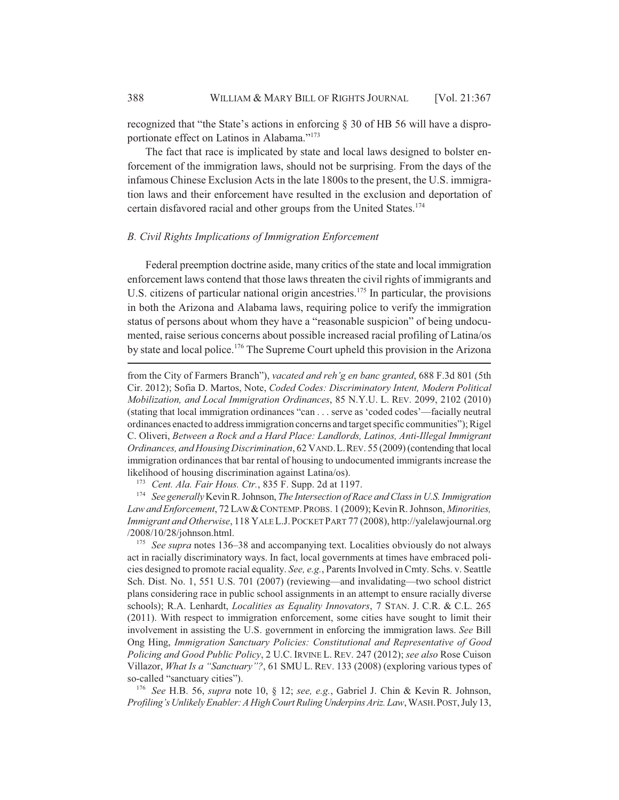recognized that "the State's actions in enforcing § 30 of HB 56 will have a disproportionate effect on Latinos in Alabama."173

The fact that race is implicated by state and local laws designed to bolster enforcement of the immigration laws, should not be surprising. From the days of the infamous Chinese Exclusion Acts in the late 1800s to the present, the U.S. immigration laws and their enforcement have resulted in the exclusion and deportation of certain disfavored racial and other groups from the United States.<sup>174</sup>

#### *B. Civil Rights Implications of Immigration Enforcement*

Federal preemption doctrine aside, many critics of the state and local immigration enforcement laws contend that those laws threaten the civil rights of immigrants and U.S. citizens of particular national origin ancestries.<sup>175</sup> In particular, the provisions in both the Arizona and Alabama laws, requiring police to verify the immigration status of persons about whom they have a "reasonable suspicion" of being undocumented, raise serious concerns about possible increased racial profiling of Latina/os by state and local police.176 The Supreme Court upheld this provision in the Arizona

<sup>174</sup> *See generally* Kevin R. Johnson, *The Intersection of Race and Class in U.S. Immigration Law and Enforcement*, 72 LAW &CONTEMP.PROBS. 1 (2009); Kevin R. Johnson, *Minorities, Immigrant and Otherwise*, 118 YALE L.J.POCKET PART 77 (2008), http://yalelawjournal.org /2008/10/28/johnson.html.

<sup>175</sup> *See supra* notes 136–38 and accompanying text. Localities obviously do not always act in racially discriminatory ways. In fact, local governments at times have embraced policies designed to promote racial equality. *See, e.g.*, Parents Involved in Cmty. Schs. v. Seattle Sch. Dist. No. 1, 551 U.S. 701 (2007) (reviewing—and invalidating—two school district plans considering race in public school assignments in an attempt to ensure racially diverse schools); R.A. Lenhardt, *Localities as Equality Innovators*, 7 STAN. J. C.R. & C.L. 265 (2011). With respect to immigration enforcement, some cities have sought to limit their involvement in assisting the U.S. government in enforcing the immigration laws. *See* Bill Ong Hing, *Immigration Sanctuary Policies: Constitutional and Representative of Good Policing and Good Public Policy*, 2 U.C. IRVINE L. REV. 247 (2012); *see also* Rose Cuison Villazor, *What Is a "Sanctuary"?*, 61 SMU L. REV. 133 (2008) (exploring various types of so-called "sanctuary cities").

<sup>176</sup> *See* H.B. 56, *supra* note 10, § 12; *see, e.g.*, Gabriel J. Chin & Kevin R. Johnson, *Profiling's Unlikely Enabler: A High Court Ruling Underpins Ariz. Law*, WASH.POST, July 13,

from the City of Farmers Branch"), *vacated and reh'g en banc granted*, 688 F.3d 801 (5th Cir. 2012); Sofia D. Martos, Note, *Coded Codes: Discriminatory Intent, Modern Political Mobilization, and Local Immigration Ordinances*, 85 N.Y.U. L. REV. 2099, 2102 (2010) (stating that local immigration ordinances "can . . . serve as 'coded codes'—facially neutral ordinances enacted to address immigration concerns and target specific communities"); Rigel C. Oliveri, *Between a Rock and a Hard Place: Landlords, Latinos, Anti-Illegal Immigrant Ordinances, and Housing Discrimination*, 62 VAND.L.REV. 55 (2009) (contending that local immigration ordinances that bar rental of housing to undocumented immigrants increase the likelihood of housing discrimination against Latina/os).

<sup>173</sup> *Cent. Ala. Fair Hous. Ctr.*, 835 F. Supp. 2d at 1197.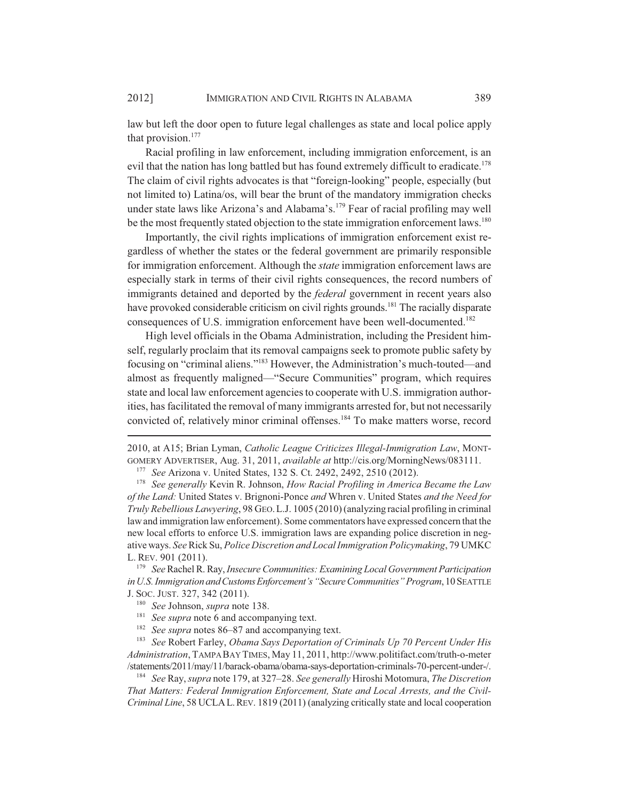law but left the door open to future legal challenges as state and local police apply that provision.<sup>177</sup>

Racial profiling in law enforcement, including immigration enforcement, is an evil that the nation has long battled but has found extremely difficult to eradicate.<sup>178</sup> The claim of civil rights advocates is that "foreign-looking" people, especially (but not limited to) Latina/os, will bear the brunt of the mandatory immigration checks under state laws like Arizona's and Alabama's.179 Fear of racial profiling may well be the most frequently stated objection to the state immigration enforcement laws.<sup>180</sup>

Importantly, the civil rights implications of immigration enforcement exist regardless of whether the states or the federal government are primarily responsible for immigration enforcement. Although the *state* immigration enforcement laws are especially stark in terms of their civil rights consequences, the record numbers of immigrants detained and deported by the *federal* government in recent years also have provoked considerable criticism on civil rights grounds.<sup>181</sup> The racially disparate consequences of U.S. immigration enforcement have been well-documented.<sup>182</sup>

High level officials in the Obama Administration, including the President himself, regularly proclaim that its removal campaigns seek to promote public safety by focusing on "criminal aliens."183 However, the Administration's much-touted—and almost as frequently maligned—"Secure Communities" program, which requires state and local law enforcement agencies to cooperate with U.S. immigration authorities, has facilitated the removal of many immigrants arrested for, but not necessarily convicted of, relatively minor criminal offenses.<sup>184</sup> To make matters worse, record

<sup>178</sup> *See generally* Kevin R. Johnson, *How Racial Profiling in America Became the Law of the Land:* United States v. Brignoni-Ponce *and* Whren v. United States *and the Need for Truly Rebellious Lawyering*, 98 GEO.L.J. 1005 (2010) (analyzing racial profiling in criminal law and immigration law enforcement). Some commentators have expressed concern that the new local efforts to enforce U.S. immigration laws are expanding police discretion in negative ways. *See* Rick Su, *Police Discretion and Local Immigration Policymaking*, 79 UMKC L. REV. 901 (2011).

<sup>179</sup> *See* Rachel R. Ray, *Insecure Communities: Examining Local Government Participation in U.S. Immigration and Customs Enforcement's "Secure Communities" Program*, 10 SEATTLE J. SOC. JUST. 327, 342 (2011).

<sup>183</sup> *See* Robert Farley, *Obama Says Deportation of Criminals Up 70 Percent Under His Administration*, TAMPA BAY TIMES, May 11, 2011, http://www.politifact.com/truth-o-meter /statements/2011/may/11/barack-obama/obama-says-deportation-criminals-70-percent-under-/.

<sup>184</sup> *See* Ray, *supra* note 179, at 327–28. *See generally* Hiroshi Motomura, *The Discretion That Matters: Federal Immigration Enforcement, State and Local Arrests, and the Civil-Criminal Line*, 58 UCLA L. REV. 1819 (2011) (analyzing critically state and local cooperation

<sup>2010,</sup> at A15; Brian Lyman, *Catholic League Criticizes Illegal-Immigration Law*, MONT-GOMERY ADVERTISER, Aug. 31, 2011, *available at* http://cis.org/MorningNews/083111.

<sup>177</sup> *See* Arizona v. United States, 132 S. Ct. 2492, 2492, 2510 (2012).

<sup>180</sup> *See* Johnson, *supra* note 138.

<sup>&</sup>lt;sup>181</sup> *See supra* note 6 and accompanying text.

<sup>&</sup>lt;sup>182</sup> *See supra* notes 86–87 and accompanying text.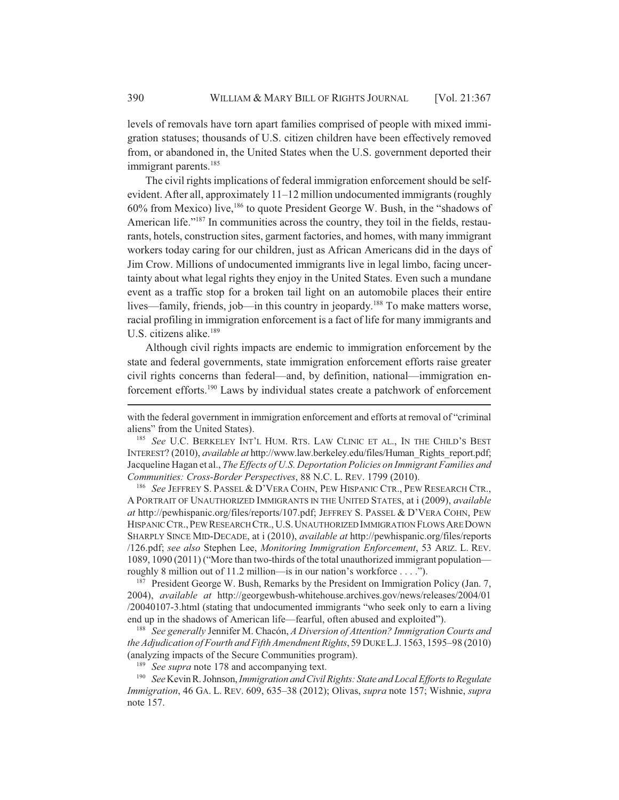levels of removals have torn apart families comprised of people with mixed immigration statuses; thousands of U.S. citizen children have been effectively removed from, or abandoned in, the United States when the U.S. government deported their immigrant parents.<sup>185</sup>

The civil rights implications of federal immigration enforcement should be selfevident. After all, approximately 11–12 million undocumented immigrants (roughly 60% from Mexico) live,186 to quote President George W. Bush, in the "shadows of American life."<sup>187</sup> In communities across the country, they toil in the fields, restaurants, hotels, construction sites, garment factories, and homes, with many immigrant workers today caring for our children, just as African Americans did in the days of Jim Crow. Millions of undocumented immigrants live in legal limbo, facing uncertainty about what legal rights they enjoy in the United States. Even such a mundane event as a traffic stop for a broken tail light on an automobile places their entire lives—family, friends, job—in this country in jeopardy.<sup>188</sup> To make matters worse, racial profiling in immigration enforcement is a fact of life for many immigrants and U.S. citizens alike.<sup>189</sup>

Although civil rights impacts are endemic to immigration enforcement by the state and federal governments, state immigration enforcement efforts raise greater civil rights concerns than federal—and, by definition, national—immigration enforcement efforts.190 Laws by individual states create a patchwork of enforcement

<sup>186</sup> *See* JEFFREY S. PASSEL & D'VERA COHN, PEW HISPANIC CTR., PEW RESEARCH CTR., A PORTRAIT OF UNAUTHORIZED IMMIGRANTS IN THE UNITED STATES, at i (2009), *available at* http://pewhispanic.org/files/reports/107.pdf; JEFFREY S. PASSEL & D'VERA COHN, PEW HISPANIC CTR.,PEW RESEARCH CTR., U.S.UNAUTHORIZED IMMIGRATION FLOWS ARE DOWN SHARPLY SINCE MID-DECADE, at i (2010), *available at* http://pewhispanic.org/files/reports /126.pdf; *see also* Stephen Lee, *Monitoring Immigration Enforcement*, 53 ARIZ. L. REV. 1089, 1090 (2011) ("More than two-thirds of the total unauthorized immigrant population roughly 8 million out of 11.2 million—is in our nation's workforce . . . .").

<sup>187</sup> President George W. Bush, Remarks by the President on Immigration Policy (Jan. 7, 2004), *available at* http://georgewbush-whitehouse.archives.gov/news/releases/2004/01 /20040107-3.html (stating that undocumented immigrants "who seek only to earn a living end up in the shadows of American life—fearful, often abused and exploited").

<sup>188</sup> *See generally* Jennifer M. Chacón, *A Diversion of Attention? Immigration Courts and the Adjudication of Fourth and Fifth Amendment Rights*, 59 DUKE L.J. 1563, 1595–98 (2010) (analyzing impacts of the Secure Communities program).

<sup>189</sup> *See supra* note 178 and accompanying text.

<sup>190</sup> *See* Kevin R. Johnson, *Immigration and Civil Rights: State and Local Efforts to Regulate Immigration*, 46 GA. L. REV. 609, 635–38 (2012); Olivas, *supra* note 157; Wishnie, *supra* note 157.

with the federal government in immigration enforcement and efforts at removal of "criminal aliens" from the United States).

<sup>185</sup> See U.C. BERKELEY INT'L HUM. RTS. LAW CLINIC ET AL., IN THE CHILD'S BEST INTEREST? (2010), *available at* http://www.law.berkeley.edu/files/Human\_Rights\_report.pdf; Jacqueline Hagan et al., *The Effects of U.S. Deportation Policies on Immigrant Families and Communities: Cross-Border Perspectives*, 88 N.C. L. REV. 1799 (2010).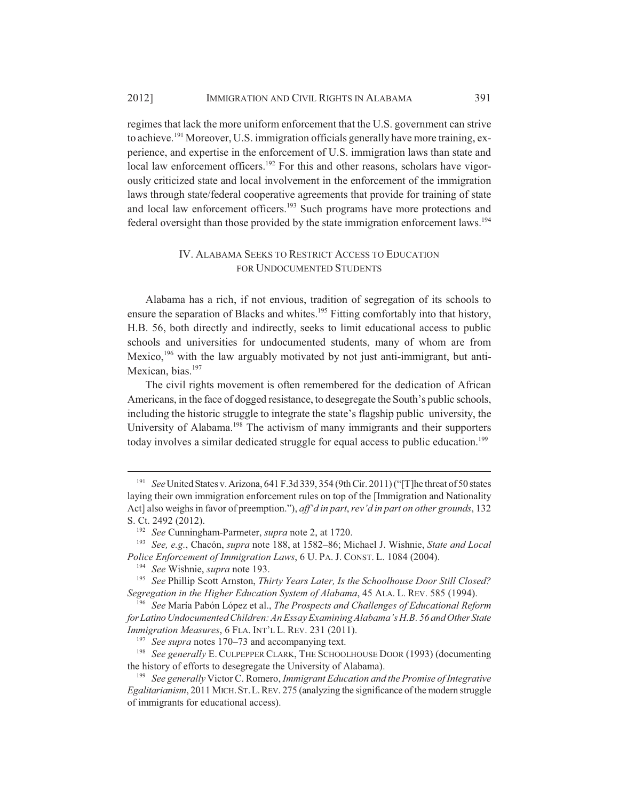regimes that lack the more uniform enforcement that the U.S. government can strive to achieve.<sup>191</sup> Moreover, U.S. immigration officials generally have more training, experience, and expertise in the enforcement of U.S. immigration laws than state and local law enforcement officers.<sup>192</sup> For this and other reasons, scholars have vigorously criticized state and local involvement in the enforcement of the immigration laws through state/federal cooperative agreements that provide for training of state and local law enforcement officers.<sup>193</sup> Such programs have more protections and federal oversight than those provided by the state immigration enforcement laws.194

#### IV. ALABAMA SEEKS TO RESTRICT ACCESS TO EDUCATION FOR UNDOCUMENTED STUDENTS

Alabama has a rich, if not envious, tradition of segregation of its schools to ensure the separation of Blacks and whites.<sup>195</sup> Fitting comfortably into that history, H.B. 56, both directly and indirectly, seeks to limit educational access to public schools and universities for undocumented students, many of whom are from Mexico,<sup>196</sup> with the law arguably motivated by not just anti-immigrant, but anti-Mexican, bias.<sup>197</sup>

The civil rights movement is often remembered for the dedication of African Americans, in the face of dogged resistance, to desegregate the South's public schools, including the historic struggle to integrate the state's flagship public university, the University of Alabama.<sup>198</sup> The activism of many immigrants and their supporters today involves a similar dedicated struggle for equal access to public education.<sup>199</sup>

<sup>191</sup> *See* United States v. Arizona, 641 F.3d 339, 354 (9th Cir. 2011) ("[T]he threat of 50 states laying their own immigration enforcement rules on top of the [Immigration and Nationality Act] also weighs in favor of preemption."), *aff'd in part*, *rev'd in part on other grounds*, 132 S. Ct. 2492 (2012).

<sup>192</sup> *See* Cunningham-Parmeter, *supra* note 2, at 1720.

<sup>193</sup> *See, e.g.*, Chacón, *supra* note 188, at 1582–86; Michael J. Wishnie, *State and Local Police Enforcement of Immigration Laws*, 6 U. PA. J. CONST. L. 1084 (2004).

<sup>194</sup> *See* Wishnie, *supra* note 193.

<sup>195</sup> *See* Phillip Scott Arnston, *Thirty Years Later, Is the Schoolhouse Door Still Closed? Segregation in the Higher Education System of Alabama*, 45 ALA. L. REV. 585 (1994).

<sup>196</sup> *See* María Pabón López et al., *The Prospects and Challenges of Educational Reform for Latino Undocumented Children: An Essay Examining Alabama's H.B. 56 and Other State Immigration Measures*, 6 FLA. INT'L L. REV. 231 (2011).

<sup>197</sup> *See supra* notes 170–73 and accompanying text.

<sup>198</sup> *See generally* E. CULPEPPER CLARK, THE SCHOOLHOUSE DOOR (1993) (documenting the history of efforts to desegregate the University of Alabama).

<sup>199</sup> *See generally* Victor C. Romero, *Immigrant Education and the Promise of Integrative Egalitarianism*, 2011 MICH.ST.L.REV. 275 (analyzing the significance of the modern struggle of immigrants for educational access).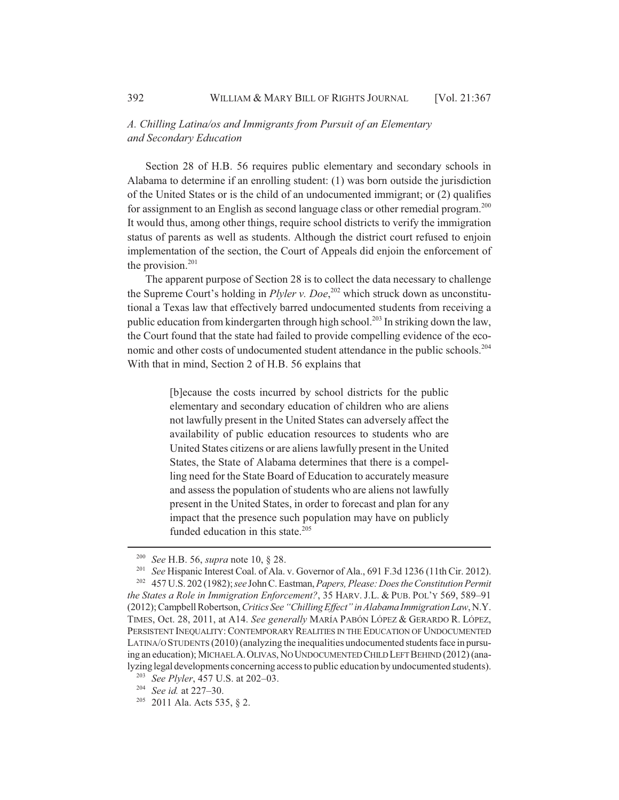## *A. Chilling Latina/os and Immigrants from Pursuit of an Elementary and Secondary Education*

Section 28 of H.B. 56 requires public elementary and secondary schools in Alabama to determine if an enrolling student: (1) was born outside the jurisdiction of the United States or is the child of an undocumented immigrant; or (2) qualifies for assignment to an English as second language class or other remedial program.<sup>200</sup> It would thus, among other things, require school districts to verify the immigration status of parents as well as students. Although the district court refused to enjoin implementation of the section, the Court of Appeals did enjoin the enforcement of the provision. $201$ 

The apparent purpose of Section 28 is to collect the data necessary to challenge the Supreme Court's holding in *Plyler v. Doe*, 202 which struck down as unconstitutional a Texas law that effectively barred undocumented students from receiving a public education from kindergarten through high school.<sup>203</sup> In striking down the law, the Court found that the state had failed to provide compelling evidence of the economic and other costs of undocumented student attendance in the public schools.<sup>204</sup> With that in mind, Section 2 of H.B. 56 explains that

> [b]ecause the costs incurred by school districts for the public elementary and secondary education of children who are aliens not lawfully present in the United States can adversely affect the availability of public education resources to students who are United States citizens or are aliens lawfully present in the United States, the State of Alabama determines that there is a compelling need for the State Board of Education to accurately measure and assess the population of students who are aliens not lawfully present in the United States, in order to forecast and plan for any impact that the presence such population may have on publicly funded education in this state.<sup>205</sup>

<sup>&</sup>lt;sup>200</sup> *See* H.B. 56, *supra* note 10, § 28.<br><sup>201</sup> *See* Hispanic Interest Coal of Ala.

<sup>&</sup>lt;sup>201</sup> *See* Hispanic Interest Coal. of Ala. v. Governor of Ala., 691 F.3d 1236 (11th Cir. 2012).<br><sup>202</sup> 457 U.S. 202 (1982): see John C. Eastman, *Papers, Please: Does the Constitution Permit* <sup>202</sup> 457 U.S. 202 (1982); *see* John C. Eastman, *Papers, Please: Does the Constitution Permit the States a Role in Immigration Enforcement?*, 35 HARV. J.L. & PUB. POL'Y 569, 589–91 (2012); Campbell Robertson, *Critics See "Chilling Effect" in Alabama Immigration Law*, N.Y. TIMES, Oct. 28, 2011, at A14. *See generally* MARÍA PABÓN LÓPEZ & GERARDO R. LÓPEZ, PERSISTENT INEQUALITY:CONTEMPORARY REALITIES IN THE EDUCATION OF UNDOCUMENTED LATINA/O STUDENTS (2010) (analyzing the inequalities undocumented students face in pursuing an education); MICHAEL A.OLIVAS, NO UNDOCUMENTED CHILD LEFT BEHIND (2012) (ana-

lyzing legal developments concerning access to public education by undocumented students). <sup>203</sup> *See Plyler*, 457 U.S. at 202–03.

<sup>204</sup> *See id.* at 227–30.

<sup>205</sup> 2011 Ala. Acts 535, § 2.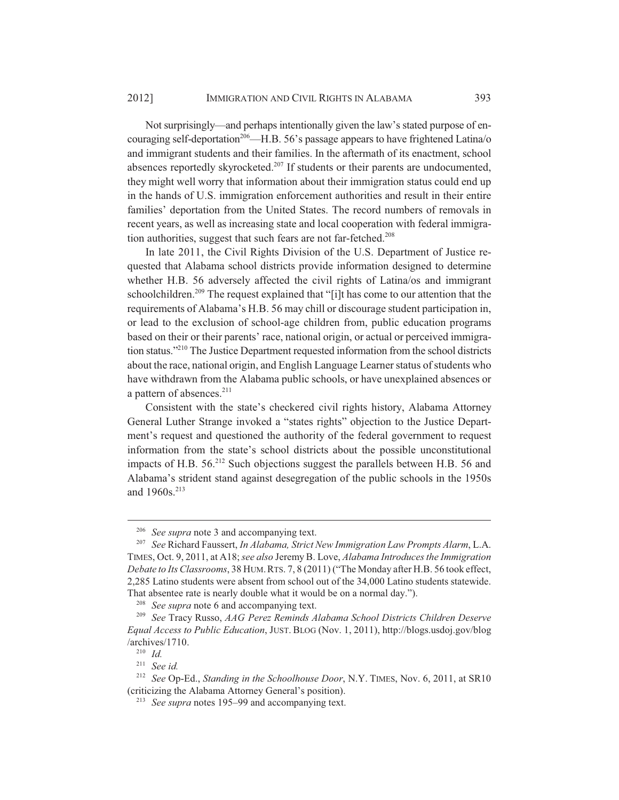Not surprisingly—and perhaps intentionally given the law's stated purpose of encouraging self-deportation<sup>206</sup>—H.B. 56's passage appears to have frightened Latina/o and immigrant students and their families. In the aftermath of its enactment, school absences reportedly skyrocketed.<sup>207</sup> If students or their parents are undocumented, they might well worry that information about their immigration status could end up in the hands of U.S. immigration enforcement authorities and result in their entire families' deportation from the United States. The record numbers of removals in recent years, as well as increasing state and local cooperation with federal immigration authorities, suggest that such fears are not far-fetched.<sup>208</sup>

In late 2011, the Civil Rights Division of the U.S. Department of Justice requested that Alabama school districts provide information designed to determine whether H.B. 56 adversely affected the civil rights of Latina/os and immigrant schoolchildren.<sup>209</sup> The request explained that "[i]t has come to our attention that the requirements of Alabama's H.B. 56 may chill or discourage student participation in, or lead to the exclusion of school-age children from, public education programs based on their or their parents' race, national origin, or actual or perceived immigration status."210 The Justice Department requested information from the school districts about the race, national origin, and English Language Learner status of students who have withdrawn from the Alabama public schools, or have unexplained absences or a pattern of absences.<sup>211</sup>

Consistent with the state's checkered civil rights history, Alabama Attorney General Luther Strange invoked a "states rights" objection to the Justice Department's request and questioned the authority of the federal government to request information from the state's school districts about the possible unconstitutional impacts of H.B. 56.212 Such objections suggest the parallels between H.B. 56 and Alabama's strident stand against desegregation of the public schools in the 1950s and 1960s.<sup>213</sup>

<sup>&</sup>lt;sup>206</sup> *See supra* note 3 and accompanying text.

<sup>207</sup> *See* Richard Faussert, *In Alabama, Strict New Immigration Law Prompts Alarm*, L.A. TIMES, Oct. 9, 2011, at A18; *see also* Jeremy B. Love, *Alabama Introduces the Immigration Debate to Its Classrooms*, 38 HUM.RTS. 7, 8 (2011) ("The Monday after H.B. 56 took effect, 2,285 Latino students were absent from school out of the 34,000 Latino students statewide. That absentee rate is nearly double what it would be on a normal day.").

See supra note 6 and accompanying text.

<sup>209</sup> *See* Tracy Russo, *AAG Perez Reminds Alabama School Districts Children Deserve Equal Access to Public Education*, JUST. BLOG (Nov. 1, 2011), http://blogs.usdoj.gov/blog /archives/1710.

<sup>210</sup> *Id.*

<sup>211</sup> *See id.*

<sup>212</sup> *See* Op-Ed., *Standing in the Schoolhouse Door*, N.Y. TIMES, Nov. 6, 2011, at SR10 (criticizing the Alabama Attorney General's position).

<sup>213</sup> *See supra* notes 195–99 and accompanying text.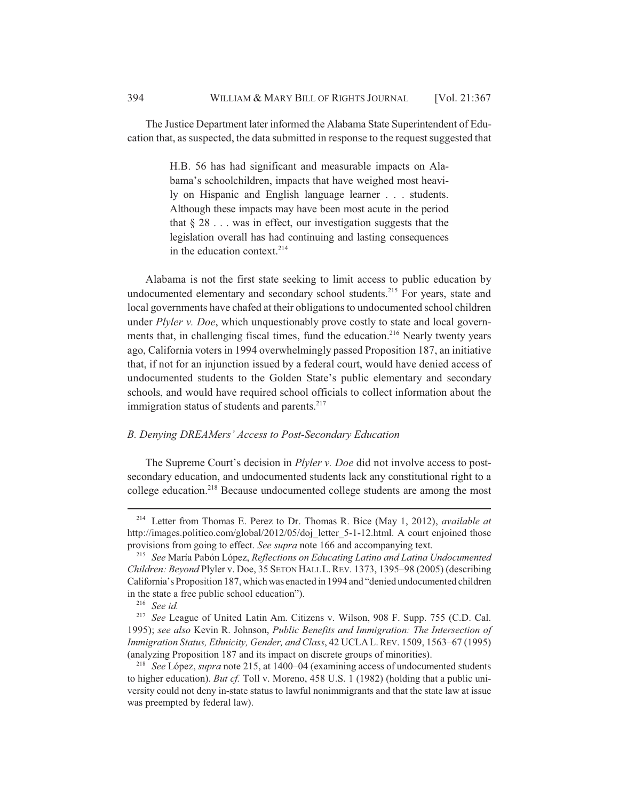The Justice Department later informed the Alabama State Superintendent of Education that, as suspected, the data submitted in response to the request suggested that

> H.B. 56 has had significant and measurable impacts on Alabama's schoolchildren, impacts that have weighed most heavily on Hispanic and English language learner . . . students. Although these impacts may have been most acute in the period that  $\S 28$ ... was in effect, our investigation suggests that the legislation overall has had continuing and lasting consequences in the education context.<sup>214</sup>

Alabama is not the first state seeking to limit access to public education by undocumented elementary and secondary school students.<sup>215</sup> For years, state and local governments have chafed at their obligations to undocumented school children under *Plyler v. Doe*, which unquestionably prove costly to state and local governments that, in challenging fiscal times, fund the education.<sup>216</sup> Nearly twenty years ago, California voters in 1994 overwhelmingly passed Proposition 187, an initiative that, if not for an injunction issued by a federal court, would have denied access of undocumented students to the Golden State's public elementary and secondary schools, and would have required school officials to collect information about the immigration status of students and parents. $217$ 

#### *B. Denying DREAMers' Access to Post-Secondary Education*

The Supreme Court's decision in *Plyler v. Doe* did not involve access to postsecondary education, and undocumented students lack any constitutional right to a college education.<sup>218</sup> Because undocumented college students are among the most

<sup>214</sup> Letter from Thomas E. Perez to Dr. Thomas R. Bice (May 1, 2012), *available at* http://images.politico.com/global/2012/05/doj\_letter\_5-1-12.html. A court enjoined those provisions from going to effect. *See supra* note 166 and accompanying text.

<sup>215</sup> *See* María Pabón López, *Reflections on Educating Latino and Latina Undocumented Children: Beyond* Plyler v. Doe, 35 SETON HALL L.REV. 1373, 1395–98 (2005) (describing California's Proposition 187, which was enacted in 1994 and "denied undocumented children in the state a free public school education").

<sup>216</sup> *See id.*

<sup>217</sup> *See* League of United Latin Am. Citizens v. Wilson, 908 F. Supp. 755 (C.D. Cal. 1995); *see also* Kevin R. Johnson, *Public Benefits and Immigration: The Intersection of Immigration Status, Ethnicity, Gender, and Class*, 42 UCLAL.REV. 1509, 1563–67 (1995) (analyzing Proposition 187 and its impact on discrete groups of minorities).

<sup>218</sup> *See* López, *supra* note 215, at 1400–04 (examining access of undocumented students to higher education). *But cf.* Toll v. Moreno, 458 U.S. 1 (1982) (holding that a public university could not deny in-state status to lawful nonimmigrants and that the state law at issue was preempted by federal law).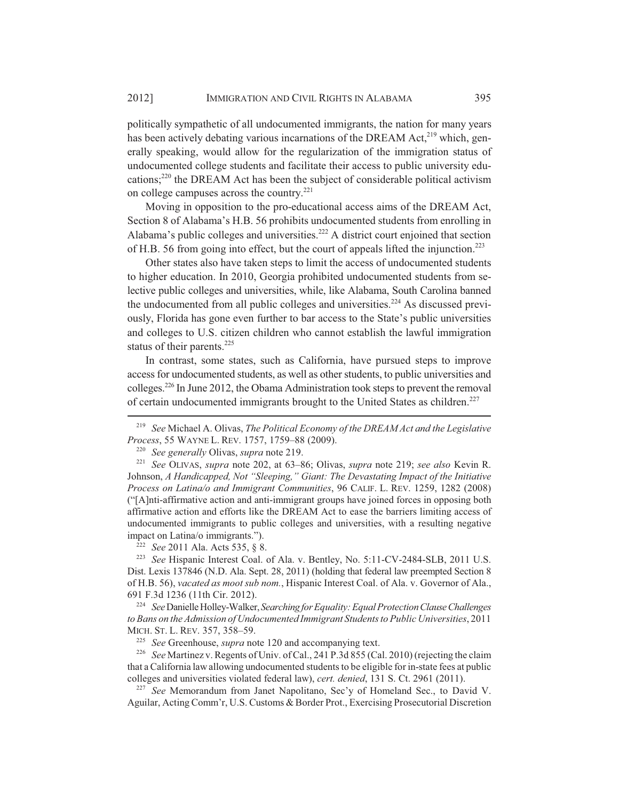politically sympathetic of all undocumented immigrants, the nation for many years has been actively debating various incarnations of the DREAM Act, $2^{19}$  which, generally speaking, would allow for the regularization of the immigration status of undocumented college students and facilitate their access to public university educations;<sup>220</sup> the DREAM Act has been the subject of considerable political activism on college campuses across the country.<sup>221</sup>

Moving in opposition to the pro-educational access aims of the DREAM Act, Section 8 of Alabama's H.B. 56 prohibits undocumented students from enrolling in Alabama's public colleges and universities.<sup>222</sup> A district court enjoined that section of H.B. 56 from going into effect, but the court of appeals lifted the injunction.223

Other states also have taken steps to limit the access of undocumented students to higher education. In 2010, Georgia prohibited undocumented students from selective public colleges and universities, while, like Alabama, South Carolina banned the undocumented from all public colleges and universities.<sup>224</sup> As discussed previously, Florida has gone even further to bar access to the State's public universities and colleges to U.S. citizen children who cannot establish the lawful immigration status of their parents. $225$ 

In contrast, some states, such as California, have pursued steps to improve access for undocumented students, as well as other students, to public universities and colleges.226 In June 2012, the Obama Administration took steps to prevent the removal of certain undocumented immigrants brought to the United States as children.<sup>227</sup>

<sup>222</sup> *See* 2011 Ala. Acts 535, § 8.

<sup>223</sup> *See* Hispanic Interest Coal. of Ala. v. Bentley, No. 5:11-CV-2484-SLB, 2011 U.S. Dist. Lexis 137846 (N.D. Ala. Sept. 28, 2011) (holding that federal law preempted Section 8 of H.B. 56), *vacated as moot sub nom.*, Hispanic Interest Coal. of Ala. v. Governor of Ala., 691 F.3d 1236 (11th Cir. 2012).

<sup>224</sup> *See* Danielle Holley-Walker, *Searching for Equality: Equal Protection Clause Challenges to Bans on the Admission of Undocumented Immigrant Students to Public Universities*, 2011 MICH. ST. L. REV. 357, 358–59.

<sup>225</sup> *See* Greenhouse, *supra* note 120 and accompanying text.

<sup>226</sup> *See* Martinez v. Regents of Univ. of Cal., 241 P.3d 855 (Cal. 2010) (rejecting the claim that a California law allowing undocumented students to be eligible for in-state fees at public colleges and universities violated federal law), *cert. denied*, 131 S. Ct. 2961 (2011).

<sup>227</sup> *See* Memorandum from Janet Napolitano, Sec'y of Homeland Sec., to David V. Aguilar, Acting Comm'r, U.S. Customs & Border Prot., Exercising Prosecutorial Discretion

<sup>219</sup> *See* Michael A. Olivas, *The Political Economy of the DREAM Act and the Legislative Process*, 55 WAYNE L. REV. 1757, 1759–88 (2009).

<sup>220</sup> *See generally* Olivas, *supra* note 219.

<sup>221</sup> *See* OLIVAS, *supra* note 202, at 63–86; Olivas, *supra* note 219; *see also* Kevin R. Johnson, *A Handicapped, Not "Sleeping," Giant: The Devastating Impact of the Initiative Process on Latina/o and Immigrant Communities*, 96 CALIF. L. REV. 1259, 1282 (2008) ("[A]nti-affirmative action and anti-immigrant groups have joined forces in opposing both affirmative action and efforts like the DREAM Act to ease the barriers limiting access of undocumented immigrants to public colleges and universities, with a resulting negative impact on Latina/o immigrants.").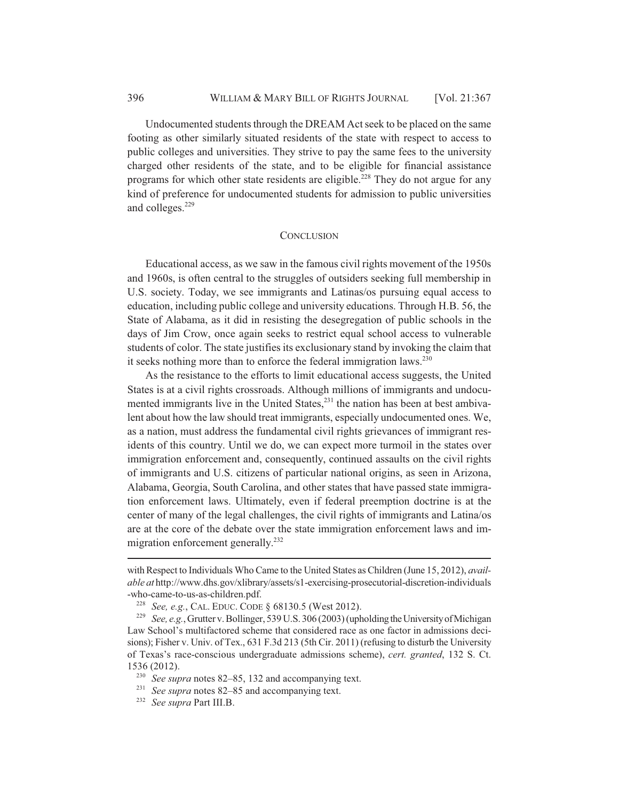Undocumented students through the DREAM Act seek to be placed on the same footing as other similarly situated residents of the state with respect to access to public colleges and universities. They strive to pay the same fees to the university charged other residents of the state, and to be eligible for financial assistance programs for which other state residents are eligible.<sup>228</sup> They do not argue for any kind of preference for undocumented students for admission to public universities and colleges.<sup>229</sup>

#### **CONCLUSION**

Educational access, as we saw in the famous civil rights movement of the 1950s and 1960s, is often central to the struggles of outsiders seeking full membership in U.S. society. Today, we see immigrants and Latinas/os pursuing equal access to education, including public college and university educations. Through H.B. 56, the State of Alabama, as it did in resisting the desegregation of public schools in the days of Jim Crow, once again seeks to restrict equal school access to vulnerable students of color. The state justifies its exclusionary stand by invoking the claim that it seeks nothing more than to enforce the federal immigration laws. $^{230}$ 

As the resistance to the efforts to limit educational access suggests, the United States is at a civil rights crossroads. Although millions of immigrants and undocumented immigrants live in the United States, $^{231}$  the nation has been at best ambivalent about how the law should treat immigrants, especially undocumented ones. We, as a nation, must address the fundamental civil rights grievances of immigrant residents of this country. Until we do, we can expect more turmoil in the states over immigration enforcement and, consequently, continued assaults on the civil rights of immigrants and U.S. citizens of particular national origins, as seen in Arizona, Alabama, Georgia, South Carolina, and other states that have passed state immigration enforcement laws. Ultimately, even if federal preemption doctrine is at the center of many of the legal challenges, the civil rights of immigrants and Latina/os are at the core of the debate over the state immigration enforcement laws and immigration enforcement generally.<sup>232</sup>

with Respect to Individuals Who Came to the United States as Children (June 15, 2012), *available at* http://www.dhs.gov/xlibrary/assets/s1-exercising-prosecutorial-discretion-individuals -who-came-to-us-as-children.pdf.

<sup>228</sup> *See, e.g.*, CAL. EDUC. CODE § 68130.5 (West 2012).

<sup>229</sup> *See, e.g.*, Grutter v. Bollinger, 539 U.S. 306 (2003) (upholding the University of Michigan Law School's multifactored scheme that considered race as one factor in admissions decisions); Fisher v. Univ. of Tex., 631 F.3d 213 (5th Cir. 2011) (refusing to disturb the University of Texas's race-conscious undergraduate admissions scheme), *cert. granted*, 132 S. Ct. 1536 (2012).

<sup>230</sup> *See supra* notes 82–85, 132 and accompanying text.

<sup>&</sup>lt;sup>231</sup> *See supra* notes 82–85 and accompanying text.

<sup>232</sup> *See supra* Part III.B.